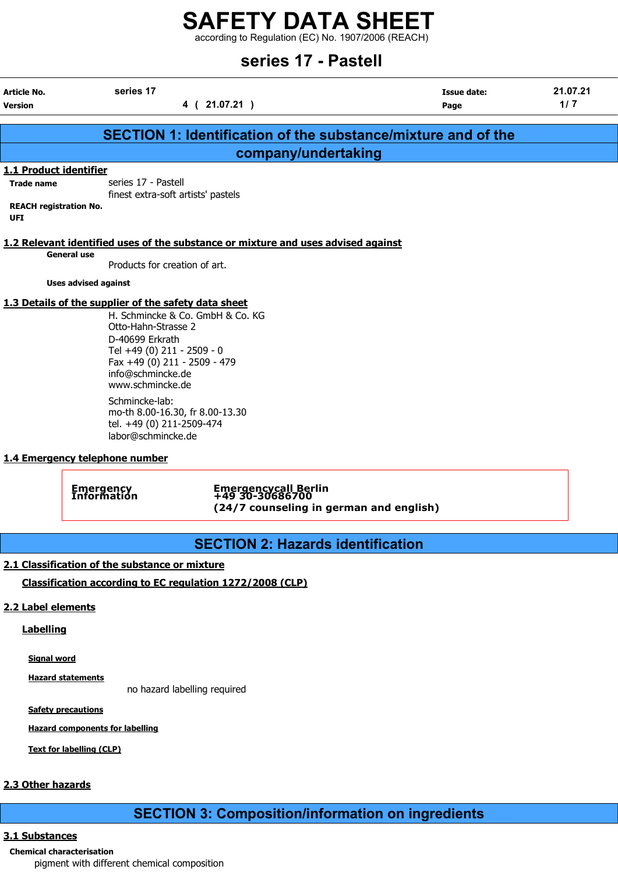according to Regulation (EC) No. 1907/2006 (REACH)

| series 17 - Pastell                                                                        |                                                                                                                                                                                                                                           |                                                                                    |                                                                      |                 |  |
|--------------------------------------------------------------------------------------------|-------------------------------------------------------------------------------------------------------------------------------------------------------------------------------------------------------------------------------------------|------------------------------------------------------------------------------------|----------------------------------------------------------------------|-----------------|--|
| Article No.<br><b>Version</b>                                                              | series 17                                                                                                                                                                                                                                 | 4 (21.07.21)                                                                       | Issue date:<br>Page                                                  | 21.07.21<br>1/7 |  |
|                                                                                            |                                                                                                                                                                                                                                           |                                                                                    | <b>SECTION 1: Identification of the substance/mixture and of the</b> |                 |  |
|                                                                                            |                                                                                                                                                                                                                                           | company/undertaking                                                                |                                                                      |                 |  |
| 1.1 Product identifier<br><b>Trade name</b><br><b>REACH registration No.</b><br><b>UFI</b> | series 17 - Pastell<br>finest extra-soft artists' pastels                                                                                                                                                                                 |                                                                                    |                                                                      |                 |  |
|                                                                                            | <b>General use</b><br>Products for creation of art.                                                                                                                                                                                       | 1.2 Relevant identified uses of the substance or mixture and uses advised against  |                                                                      |                 |  |
|                                                                                            | <b>Uses advised against</b>                                                                                                                                                                                                               |                                                                                    |                                                                      |                 |  |
|                                                                                            | 1.3 Details of the supplier of the safety data sheet<br>H. Schmincke & Co. GmbH & Co. KG<br>Otto-Hahn-Strasse 2<br>D-40699 Erkrath<br>Tel +49 (0) 211 - 2509 - 0<br>Fax +49 (0) 211 - 2509 - 479<br>info@schmincke.de<br>www.schmincke.de |                                                                                    |                                                                      |                 |  |
|                                                                                            | Schmincke-lab:<br>mo-th 8.00-16.30, fr 8.00-13.30<br>tel. +49 (0) 211-2509-474<br>labor@schmincke.de                                                                                                                                      |                                                                                    |                                                                      |                 |  |
|                                                                                            | 1.4 Emergency telephone number                                                                                                                                                                                                            |                                                                                    |                                                                      |                 |  |
|                                                                                            | <b>Emergency</b><br>Information                                                                                                                                                                                                           | Emergencycall Berlin<br>+49 30-30686700<br>(24/7 counseling in german and english) |                                                                      |                 |  |
|                                                                                            |                                                                                                                                                                                                                                           |                                                                                    |                                                                      |                 |  |

## SECTION 2: Hazards identification

#### 2.1 Classification of the substance or mixture

Classification according to EC regulation 1272/2008 (CLP)

#### 2.2 Label elements

## **Labelling**

Signal word

Hazard statements

no hazard labelling required

**Safety precautions** 

Hazard components for labelling

Text for labelling (CLP)

#### 2.3 Other hazards

## SECTION 3: Composition/information on ingredients

#### 3.1 Substances

Chemical characterisation pigment with different chemical composition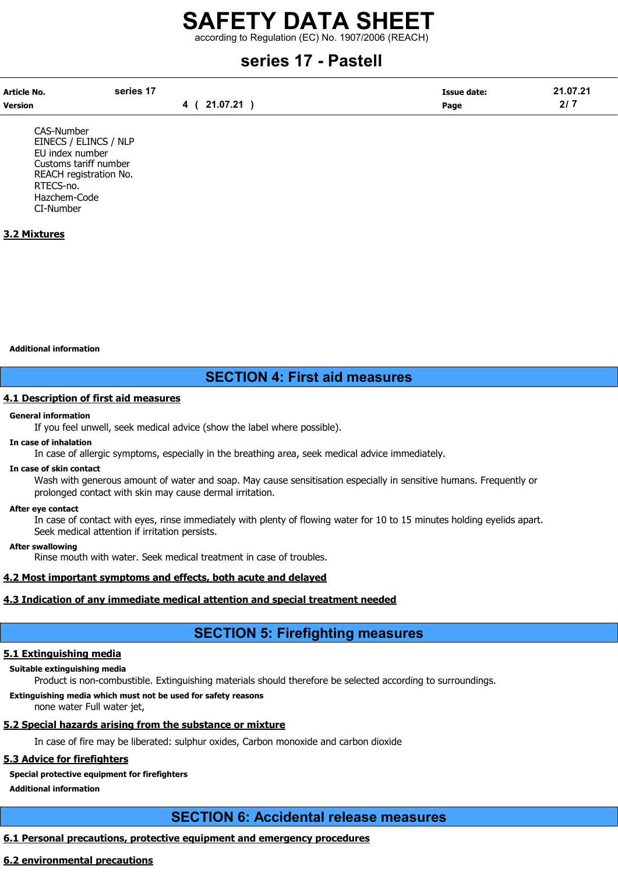according to Regulation (EC) No. 1907/2006 (REACH)

## series 17 - Pastell

| Article No. | series 17    | <b>Issue date:</b> | 21.07.21 |
|-------------|--------------|--------------------|----------|
| Version     | 4 ( 21.07.21 | Page               | 217      |

CAS-Number EINECS / ELINCS / NLP EU index number Customs tariff number REACH registration No. RTECS-no. Hazchem-Code CI-Number

#### 3.2 Mixtures

Additional information

## SECTION 4: First aid measures

#### 4.1 Description of first aid measures

#### General information

If you feel unwell, seek medical advice (show the label where possible).

#### In case of inhalation

In case of allergic symptoms, especially in the breathing area, seek medical advice immediately.

#### In case of skin contact

Wash with generous amount of water and soap. May cause sensitisation especially in sensitive humans. Frequently or prolonged contact with skin may cause dermal irritation.

#### After eye contact

In case of contact with eyes, rinse immediately with plenty of flowing water for 10 to 15 minutes holding eyelids apart. Seek medical attention if irritation persists.

#### After swallowing

Rinse mouth with water. Seek medical treatment in case of troubles.

#### 4.2 Most important symptoms and effects, both acute and delayed

#### 4.3 Indication of any immediate medical attention and special treatment needed

## SECTION 5: Firefighting measures

#### 5.1 Extinguishing media

#### Suitable extinguishing media

Product is non-combustible. Extinguishing materials should therefore be selected according to surroundings.

#### Extinguishing media which must not be used for safety reasons

none water Full water jet,

## 5.2 Special hazards arising from the substance or mixture

In case of fire may be liberated: sulphur oxides, Carbon monoxide and carbon dioxide

#### 5.3 Advice for firefighters

Special protective equipment for firefighters

Additional information

## SECTION 6: Accidental release measures

#### 6.1 Personal precautions, protective equipment and emergency procedures

#### 6.2 environmental precautions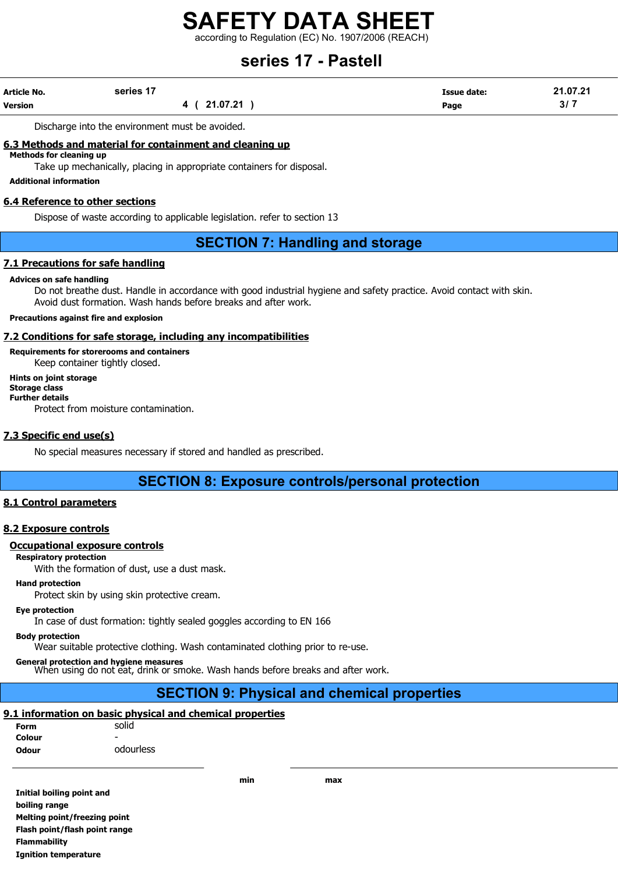according to Regulation (EC) No. 1907/2006 (REACH)

## series 17 - Pastell

| <b>Article No.</b> | series 17   | Issue date: | 21.07.21 |
|--------------------|-------------|-------------|----------|
| <b>Version</b>     | 4 (21.07.21 | Page        | 3/7      |

Discharge into the environment must be avoided.

#### 6.3 Methods and material for containment and cleaning up

Methods for cleaning up

Take up mechanically, placing in appropriate containers for disposal.

Additional information

#### 6.4 Reference to other sections

Dispose of waste according to applicable legislation. refer to section 13

## SECTION 7: Handling and storage

#### 7.1 Precautions for safe handling

#### Advices on safe handling

Do not breathe dust. Handle in accordance with good industrial hygiene and safety practice. Avoid contact with skin. Avoid dust formation. Wash hands before breaks and after work.

#### Precautions against fire and explosion

#### 7.2 Conditions for safe storage, including any incompatibilities

Requirements for storerooms and containers

Keep container tightly closed.

#### Hints on joint storage Storage class Further details

Protect from moisture contamination.

#### 7.3 Specific end use(s)

No special measures necessary if stored and handled as prescribed.

## SECTION 8: Exposure controls/personal protection

#### 8.1 Control parameters

#### 8.2 Exposure controls

#### Occupational exposure controls

Respiratory protection

With the formation of dust, use a dust mask.

#### Hand protection

Protect skin by using skin protective cream.

#### Eye protection

In case of dust formation: tightly sealed goggles according to EN 166

#### Body protection

Wear suitable protective clothing. Wash contaminated clothing prior to re-use.

General protection and hygiene measures When using do not eat, drink or smoke. Wash hands before breaks and after work.

## SECTION 9: Physical and chemical properties

## 9.1 information on basic physical and chemical properties

| Form         | solid     |
|--------------|-----------|
| Colour       |           |
| <b>Odour</b> | odourless |

Initial boiling point and boiling range Melting point/freezing point Flash point/flash point range Flammability Ignition temperature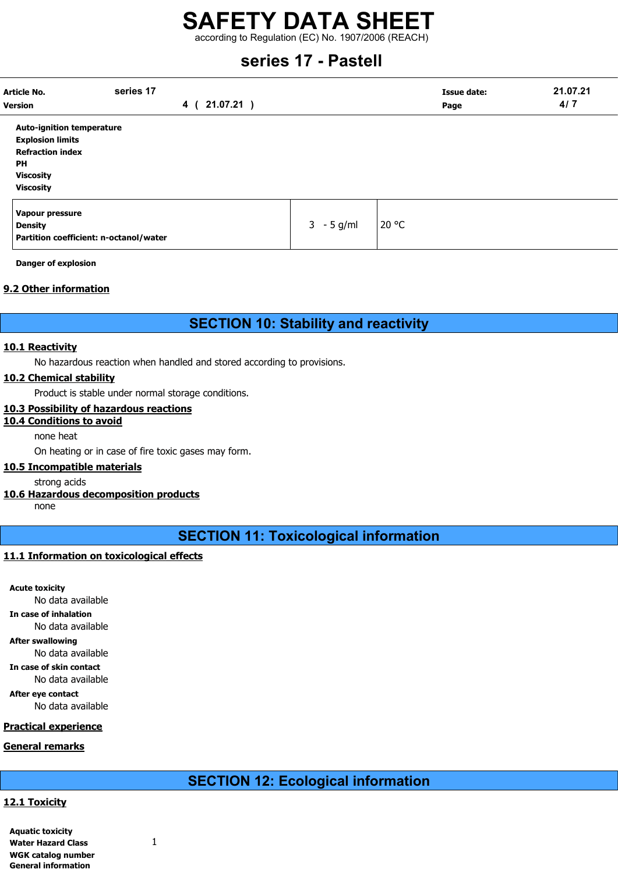according to Regulation (EC) No. 1907/2006 (REACH)

## series 17 - Pastell

| <b>Article No.</b><br><b>Version</b>                                                                                                        | series 17<br>21.07.21)<br>4 ( |              | <b>Issue date:</b><br>Page | 21.07.21<br>4/7 |
|---------------------------------------------------------------------------------------------------------------------------------------------|-------------------------------|--------------|----------------------------|-----------------|
| <b>Auto-ignition temperature</b><br><b>Explosion limits</b><br><b>Refraction index</b><br><b>PH</b><br><b>Viscosity</b><br><b>Viscosity</b> |                               |              |                            |                 |
| Vapour pressure<br><b>Density</b><br>Partition coefficient: n-octanol/water                                                                 |                               | $3 - 5$ g/ml | 20 °C                      |                 |

Danger of explosion

#### 9.2 Other information

## SECTION 10: Stability and reactivity

#### 10.1 Reactivity

No hazardous reaction when handled and stored according to provisions.

#### 10.2 Chemical stability

Product is stable under normal storage conditions.

#### 10.3 Possibility of hazardous reactions

## 10.4 Conditions to avoid

### none heat

On heating or in case of fire toxic gases may form.

#### 10.5 Incompatible materials

strong acids

#### 10.6 Hazardous decomposition products

none

## SECTION 11: Toxicological information

#### 11.1 Information on toxicological effects

Acute toxicity No data available In case of inhalation No data available After swallowing No data available In case of skin contact No data available After eye contact No data available Practical experience

## General remarks

## SECTION 12: Ecological information

#### 12.1 Toxicity

| <b>Aquatic toxicity</b>    |  |
|----------------------------|--|
| <b>Water Hazard Class</b>  |  |
| WGK catalog number         |  |
| <b>General information</b> |  |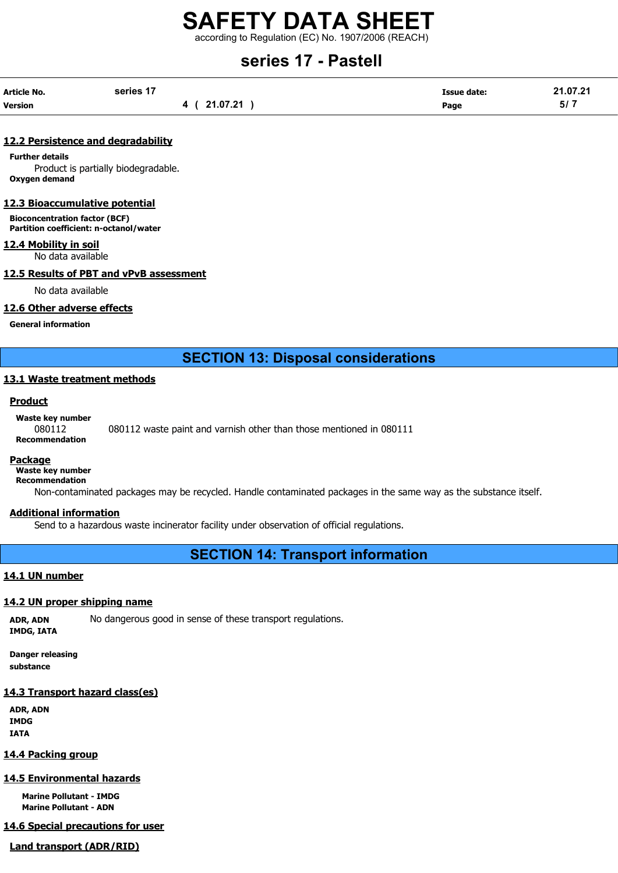according to Regulation (EC) No. 1907/2006 (REACH)

## series 17 - Pastell

| Article No.    | series 17    | <b>Issue date:</b> | 21.07.21 |
|----------------|--------------|--------------------|----------|
| <b>Version</b> | 4 ( 21.07.21 | Page               | 5/7      |

#### 12.2 Persistence and degradability

Further details Product is partially biodegradable. Oxygen demand

#### 12.3 Bioaccumulative potential

Bioconcentration factor (BCF) Partition coefficient: n-octanol/water

#### 12.4 Mobility in soil

No data available

#### 12.5 Results of PBT and vPvB assessment

No data available

#### 12.6 Other adverse effects

General information

SECTION 13: Disposal considerations

#### 13.1 Waste treatment methods

#### **Product**

Waste key number

## 080112 080112 waste paint and varnish other than those mentioned in 080111 Recommendation

#### Package

Waste key number

Recommendation

Non-contaminated packages may be recycled. Handle contaminated packages in the same way as the substance itself.

#### Additional information

Send to a hazardous waste incinerator facility under observation of official regulations.

## SECTION 14: Transport information

#### 14.1 UN number

## 14.2 UN proper shipping name

ADR, ADN No dangerous good in sense of these transport regulations.

IMDG, IATA

Danger releasing substance

## 14.3 Transport hazard class(es)

ADR, ADN IMDG IATA

## 14.4 Packing group

## 14.5 Environmental hazards

Marine Pollutant - IMDG Marine Pollutant - ADN

14.6 Special precautions for user

## Land transport (ADR/RID)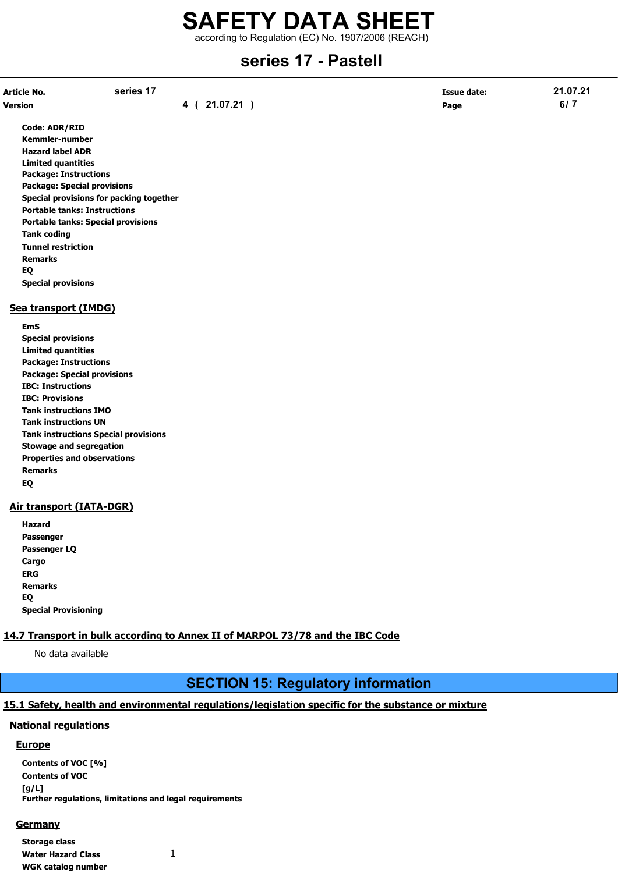according to Regulation (EC) No. 1907/2006 (REACH)

## series 17 - Pastell

| Article No. | series 17 | <b>Issue date:</b> | 21.07.21 |
|-------------|-----------|--------------------|----------|
| Version     | 21.07.21  | Page               | 6/7      |

Code: ADR/RID Kemmler-number Hazard label ADR Limited quantities Package: Instructions Package: Special provisions Special provisions for packing together Portable tanks: Instructions Portable tanks: Special provisions Tank coding Tunnel restriction Remarks EQ Special provisions

#### Sea transport (IMDG)

EmS Special provisions Limited quantities Package: Instructions Package: Special provisions IBC: Instructions IBC: Provisions Tank instructions IMO Tank instructions UN Tank instructions Special provisions Stowage and segregation Properties and observations Remarks EQ

#### Air transport (IATA-DGR)

| Hazard                      |
|-----------------------------|
| Passenger                   |
| Passenger LQ                |
| Cargo                       |
| ERG                         |
| <b>Remarks</b>              |
| EQ                          |
| <b>Special Provisioning</b> |

#### 14.7 Transport in bulk according to Annex II of MARPOL 73/78 and the IBC Code

No data available

## SECTION 15: Regulatory information

#### 15.1 Safety, health and environmental regulations/legislation specific for the substance or mixture

#### National regulations

#### Europe

Contents of VOC [%] Contents of VOC [g/L] Further regulations, limitations and legal requirements

#### **Germany**

Storage class Water Hazard Class 1 WGK catalog number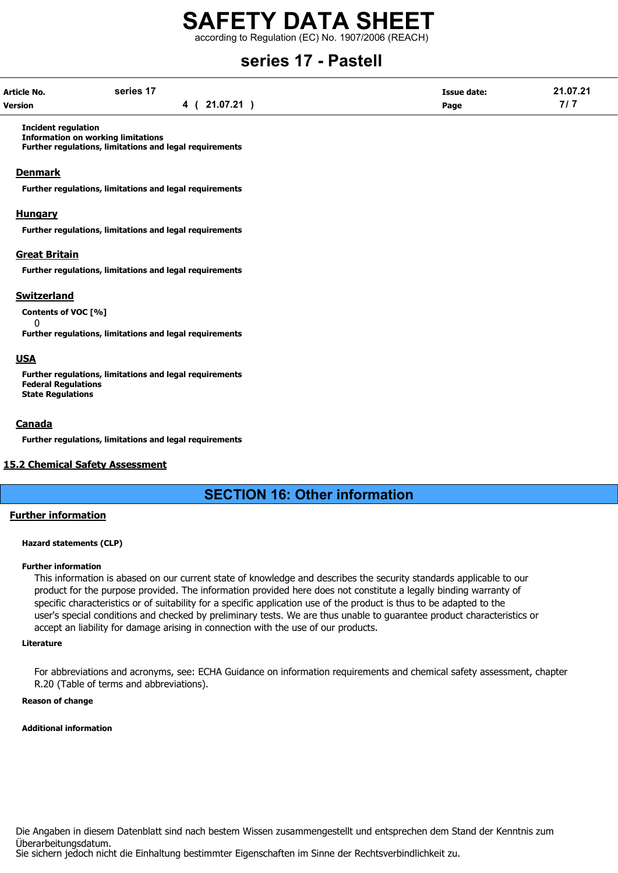according to Regulation (EC) No. 1907/2006 (REACH)

## series 17 - Pastell

| <b>Article No.</b> | series 17    | Issue date: | 21.07.21 |
|--------------------|--------------|-------------|----------|
| <b>Version</b>     | 4 ( 21.07.21 | Page        | 7 / 7    |

Incident regulation

Information on working limitations Further regulations, limitations and legal requirements

#### **Denmark**

Further regulations, limitations and legal requirements

#### Hungary

Further regulations, limitations and legal requirements

#### Great Britain

Further regulations, limitations and legal requirements

#### Switzerland

Contents of VOC [%]  $\Omega$ 

Further regulations, limitations and legal requirements

#### USA

Further regulations, limitations and legal requirements Federal Regulations State Regulations

#### **Canada**

Further regulations, limitations and legal requirements

#### 15.2 Chemical Safety Assessment

## SECTION 16: Other information

#### Further information

#### Hazard statements (CLP)

#### Further information

This information is abased on our current state of knowledge and describes the security standards applicable to our product for the purpose provided. The information provided here does not constitute a legally binding warranty of specific characteristics or of suitability for a specific application use of the product is thus to be adapted to the user's special conditions and checked by preliminary tests. We are thus unable to guarantee product characteristics or accept an liability for damage arising in connection with the use of our products.

#### Literature

For abbreviations and acronyms, see: ECHA Guidance on information requirements and chemical safety assessment, chapter R.20 (Table of terms and abbreviations).

#### Reason of change

#### Additional information

Die Angaben in diesem Datenblatt sind nach bestem Wissen zusammengestellt und entsprechen dem Stand der Kenntnis zum Überarbeitungsdatum. Sie sichern jedoch nicht die Einhaltung bestimmter Eigenschaften im Sinne der Rechtsverbindlichkeit zu.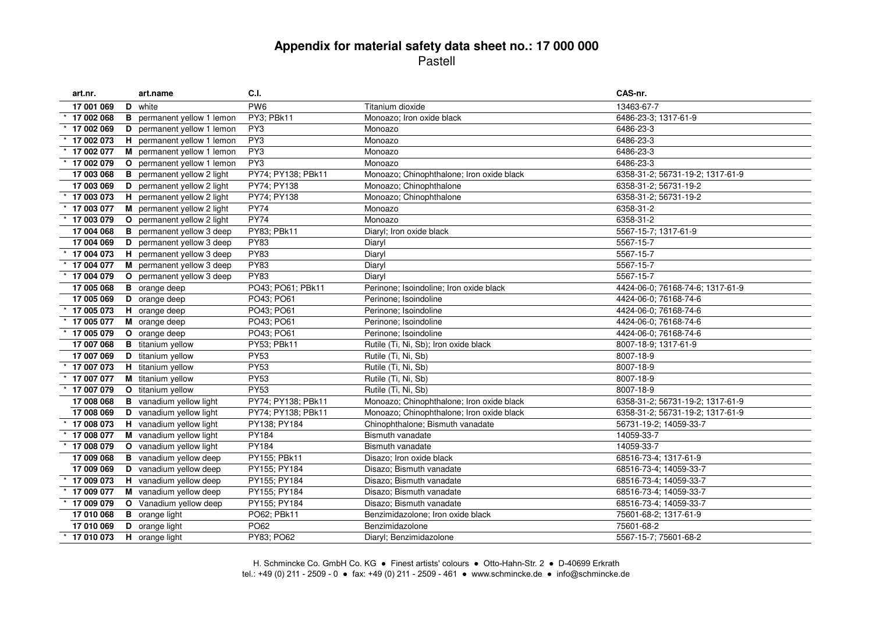| art.nr.        |   | art.name                          | C.I.               |                                           | CAS-nr.                          |
|----------------|---|-----------------------------------|--------------------|-------------------------------------------|----------------------------------|
| 17 001 069     |   | D white                           | PW <sub>6</sub>    | Titanium dioxide                          | 13463-67-7                       |
| 17 002 068     |   | <b>B</b> permanent yellow 1 lemon | PY3; PBk11         | Monoazo; Iron oxide black                 | 6486-23-3; 1317-61-9             |
| 17 002 069     |   | D permanent yellow 1 lemon        | PY <sub>3</sub>    | Monoazo                                   | 6486-23-3                        |
| 17 002 073     |   | H permanent yellow 1 lemon        | PY3                | Monoazo                                   | 6486-23-3                        |
| 17 002 077     |   | M permanent yellow 1 lemon        | PY3                | Monoazo                                   | 6486-23-3                        |
| 17 002 079     | O | permanent yellow 1 lemon          | PY3                | Monoazo                                   | 6486-23-3                        |
| 17 003 068     | в | permanent yellow 2 light          | PY74; PY138; PBk11 | Monoazo; Chinophthalone; Iron oxide black | 6358-31-2; 56731-19-2; 1317-61-9 |
| 17 003 069     | D | permanent yellow 2 light          | PY74; PY138        | Monoazo; Chinophthalone                   | 6358-31-2; 56731-19-2            |
| 17 003 073     |   | H permanent yellow 2 light        | PY74; PY138        | Monoazo; Chinophthalone                   | 6358-31-2; 56731-19-2            |
| 17 003 077     |   | M permanent yellow 2 light        | <b>PY74</b>        | Monoazo                                   | 6358-31-2                        |
| 17 003 079     |   | O permanent yellow 2 light        | <b>PY74</b>        | Monoazo                                   | 6358-31-2                        |
| 17 004 068     | в | permanent yellow 3 deep           | PY83; PBk11        | Diaryl; Iron oxide black                  | 5567-15-7; 1317-61-9             |
| 17 004 069     | D | permanent yellow 3 deep           | <b>PY83</b>        | Diaryl                                    | 5567-15-7                        |
| 17 004 073     | H | permanent yellow 3 deep           | PY83               | Diaryl                                    | 5567-15-7                        |
| 17 004 077     |   | M permanent yellow 3 deep         | <b>PY83</b>        | Diaryl                                    | 5567-15-7                        |
| 17 004 079     |   | O permanent yellow 3 deep         | <b>PY83</b>        | Diaryl                                    | 5567-15-7                        |
| 17 005 068     |   | <b>B</b> orange deep              | PO43; PO61; PBk11  | Perinone; Isoindoline; Iron oxide black   | 4424-06-0; 76168-74-6; 1317-61-9 |
| 17 005 069     |   | <b>D</b> orange deep              | PO43; PO61         | Perinone; Isoindoline                     | 4424-06-0; 76168-74-6            |
| 17 005 073     |   | H orange deep                     | PO43; PO61         | Perinone; Isoindoline                     | 4424-06-0; 76168-74-6            |
| 17 005 077     |   | M orange deep                     | PO43; PO61         | Perinone; Isoindoline                     | 4424-06-0; 76168-74-6            |
| 17 005 079     |   | O orange deep                     | PO43; PO61         | Perinone; Isoindoline                     | 4424-06-0; 76168-74-6            |
| 17 007 068     |   | <b>B</b> titanium yellow          | PY53; PBk11        | Rutile (Ti, Ni, Sb); Iron oxide black     | 8007-18-9; 1317-61-9             |
| 17 007 069     |   | D titanium yellow                 | <b>PY53</b>        | Rutile (Ti, Ni, Sb)                       | 8007-18-9                        |
| 17 007 073     |   | <b>H</b> titanium yellow          | <b>PY53</b>        | Rutile (Ti, Ni, Sb)                       | 8007-18-9                        |
| 17 007 077     |   | M titanium yellow                 | <b>PY53</b>        | Rutile (Ti, Ni, Sb)                       | 8007-18-9                        |
| 17 007 079     |   | O titanium yellow                 | <b>PY53</b>        | Rutile (Ti, Ni, Sb)                       | 8007-18-9                        |
| 17 008 068     |   | <b>B</b> vanadium yellow light    | PY74; PY138; PBk11 | Monoazo; Chinophthalone; Iron oxide black | 6358-31-2; 56731-19-2; 1317-61-9 |
| 17 008 069     |   | <b>D</b> vanadium yellow light    | PY74; PY138; PBk11 | Monoazo; Chinophthalone; Iron oxide black | 6358-31-2; 56731-19-2; 1317-61-9 |
| 17 008 073     |   | H vanadium yellow light           | PY138; PY184       | Chinophthalone; Bismuth vanadate          | 56731-19-2; 14059-33-7           |
| 17 008 077     |   | M vanadium yellow light           | PY184              | Bismuth vanadate                          | 14059-33-7                       |
| 17 008 079     |   | O vanadium yellow light           | PY184              | <b>Bismuth vanadate</b>                   | 14059-33-7                       |
| 17 009 068     |   | <b>B</b> vanadium yellow deep     | PY155; PBk11       | Disazo; Iron oxide black                  | 68516-73-4; 1317-61-9            |
| 17 009 069     |   | D vanadium yellow deep            | PY155; PY184       | Disazo; Bismuth vanadate                  | 68516-73-4; 14059-33-7           |
| 17 009 073     |   | H vanadium yellow deep            | PY155; PY184       | Disazo; Bismuth vanadate                  | 68516-73-4; 14059-33-7           |
| 17 009 077     |   | M vanadium yellow deep            | PY155; PY184       | Disazo: Bismuth vanadate                  | 68516-73-4; 14059-33-7           |
| 17 009 079     |   | O Vanadium yellow deep            | PY155; PY184       | Disazo; Bismuth vanadate                  | 68516-73-4; 14059-33-7           |
| 17 010 068     |   | <b>B</b> orange light             | PO62; PBk11        | Benzimidazolone; Iron oxide black         | 75601-68-2; 1317-61-9            |
| 17 010 069     |   | D orange light                    | PO62               | Benzimidazolone                           | 75601-68-2                       |
| $*$ 17 010 073 |   | H orange light                    | PY83; PO62         | Diaryl; Benzimidazolone                   | 5567-15-7; 75601-68-2            |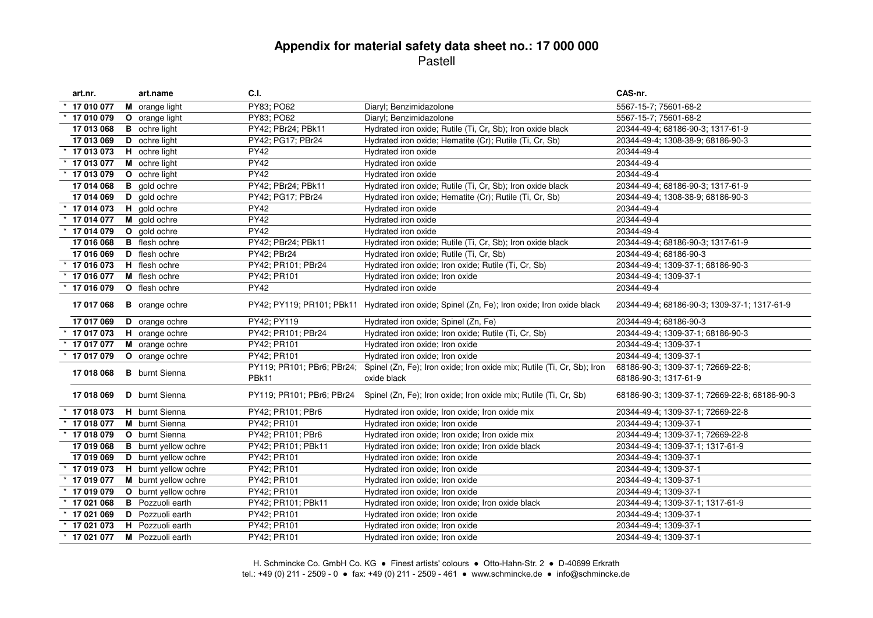| art.nr.    | art.name                    | C.I.                                |                                                                                              | CAS-nr.                                                     |
|------------|-----------------------------|-------------------------------------|----------------------------------------------------------------------------------------------|-------------------------------------------------------------|
| 17 010 077 | M orange light              | PY83; PO62                          | Diaryl; Benzimidazolone                                                                      | 5567-15-7; 75601-68-2                                       |
| 17 010 079 | O orange light              | PY83; PO62                          | Diaryl; Benzimidazolone                                                                      | 5567-15-7; 75601-68-2                                       |
| 17 013 068 | <b>B</b> ochre light        | PY42; PBr24; PBk11                  | Hydrated iron oxide; Rutile (Ti, Cr, Sb); Iron oxide black                                   | 20344-49-4; 68186-90-3; 1317-61-9                           |
| 17 013 069 | D ochre light               | PY42; PG17; PBr24                   | Hydrated iron oxide; Hematite (Cr); Rutile (Ti, Cr, Sb)                                      | 20344-49-4; 1308-38-9; 68186-90-3                           |
| 17 013 073 | H ochre light               | <b>PY42</b>                         | Hydrated iron oxide                                                                          | 20344-49-4                                                  |
| 17 013 077 | M ochre light               | <b>PY42</b>                         | Hydrated iron oxide                                                                          | 20344-49-4                                                  |
| 17 013 079 | O ochre light               | <b>PY42</b>                         | Hydrated iron oxide                                                                          | 20344-49-4                                                  |
| 17 014 068 | <b>B</b> gold ochre         | PY42; PBr24; PBk11                  | Hydrated iron oxide; Rutile (Ti, Cr, Sb); Iron oxide black                                   | 20344-49-4; 68186-90-3; 1317-61-9                           |
| 17 014 069 | D gold ochre                | PY42; PG17; PBr24                   | Hydrated iron oxide; Hematite (Cr); Rutile (Ti, Cr, Sb)                                      | 20344-49-4; 1308-38-9; 68186-90-3                           |
| 17 014 073 | H gold ochre                | <b>PY42</b>                         | Hydrated iron oxide                                                                          | 20344-49-4                                                  |
| 17 014 077 | M gold ochre                | <b>PY42</b>                         | Hydrated iron oxide                                                                          | 20344-49-4                                                  |
| 17 014 079 | O gold ochre                | <b>PY42</b>                         | Hydrated iron oxide                                                                          | 20344-49-4                                                  |
| 17 016 068 | <b>B</b> flesh ochre        | PY42; PBr24; PBk11                  | Hydrated iron oxide; Rutile (Ti, Cr, Sb); Iron oxide black                                   | 20344-49-4; 68186-90-3; 1317-61-9                           |
| 17 016 069 | D flesh ochre               | PY42; PBr24                         | Hydrated iron oxide; Rutile (Ti, Cr, Sb)                                                     | 20344-49-4; 68186-90-3                                      |
| 17 016 073 | H flesh ochre               | PY42; PR101; PBr24                  | Hydrated iron oxide; Iron oxide; Rutile (Ti, Cr, Sb)                                         | 20344-49-4; 1309-37-1; 68186-90-3                           |
| 17 016 077 | M flesh ochre               | PY42; PR101                         | Hydrated iron oxide; Iron oxide                                                              | 20344-49-4; 1309-37-1                                       |
| 17 016 079 | O flesh ochre               | <b>PY42</b>                         | Hydrated iron oxide                                                                          | 20344-49-4                                                  |
| 17 017 068 | <b>B</b> orange ochre       |                                     | PY42; PY119; PR101; PBk11 Hydrated iron oxide; Spinel (Zn, Fe); Iron oxide; Iron oxide black | 20344-49-4; 68186-90-3; 1309-37-1; 1317-61-9                |
| 17 017 069 | D orange ochre              | PY42; PY119                         | Hydrated iron oxide; Spinel (Zn, Fe)                                                         | 20344-49-4; 68186-90-3                                      |
| 17 017 073 | H orange ochre              | PY42; PR101; PBr24                  | Hydrated iron oxide; Iron oxide; Rutile (Ti, Cr, Sb)                                         | 20344-49-4; 1309-37-1; 68186-90-3                           |
| 17 017 077 | M orange ochre              | PY42; PR101                         | Hydrated iron oxide; Iron oxide                                                              | 20344-49-4; 1309-37-1                                       |
| 17 017 079 | O orange ochre              | PY42; PR101                         | Hydrated iron oxide; Iron oxide                                                              | 20344-49-4; 1309-37-1                                       |
| 17 018 068 | <b>B</b> burnt Sienna       | PY119; PR101; PBr6; PBr24;<br>PBk11 | Spinel (Zn, Fe); Iron oxide; Iron oxide mix; Rutile (Ti, Cr, Sb); Iron<br>oxide black        | 68186-90-3; 1309-37-1; 72669-22-8;<br>68186-90-3; 1317-61-9 |
| 17 018 069 | <b>D</b> burnt Sienna       | PY119; PR101; PBr6; PBr24           | Spinel (Zn, Fe); Iron oxide; Iron oxide mix; Rutile (Ti, Cr, Sb)                             | 68186-90-3; 1309-37-1; 72669-22-8; 68186-90-3               |
| 17 018 073 | H burnt Sienna              | PY42; PR101; PBr6                   | Hydrated iron oxide; Iron oxide; Iron oxide mix                                              | 20344-49-4; 1309-37-1; 72669-22-8                           |
| 17 018 077 | M burnt Sienna              | PY42; PR101                         | Hydrated iron oxide; Iron oxide                                                              | 20344-49-4; 1309-37-1                                       |
| 17 018 079 | O burnt Sienna              | PY42; PR101; PBr6                   | Hydrated iron oxide; Iron oxide; Iron oxide mix                                              | 20344-49-4; 1309-37-1; 72669-22-8                           |
| 17 019 068 | <b>B</b> burnt yellow ochre | PY42; PR101; PBk11                  | Hydrated iron oxide; Iron oxide; Iron oxide black                                            | 20344-49-4; 1309-37-1; 1317-61-9                            |
| 17 019 069 | D burnt yellow ochre        | PY42; PR101                         | Hydrated iron oxide; Iron oxide                                                              | 20344-49-4; 1309-37-1                                       |
| 17 019 073 | H burnt yellow ochre        | PY42; PR101                         | Hydrated iron oxide; Iron oxide                                                              | 20344-49-4; 1309-37-1                                       |
| 17 019 077 | M burnt yellow ochre        | PY42; PR101                         | Hydrated iron oxide; Iron oxide                                                              | 20344-49-4: 1309-37-1                                       |
| 17 019 079 | O burnt yellow ochre        | PY42; PR101                         | Hydrated iron oxide; Iron oxide                                                              | 20344-49-4; 1309-37-1                                       |
| 17 021 068 | <b>B</b> Pozzuoli earth     | PY42; PR101; PBk11                  | Hydrated iron oxide; Iron oxide; Iron oxide black                                            | 20344-49-4; 1309-37-1; 1317-61-9                            |
| 17 021 069 | <b>D</b> Pozzuoli earth     | PY42; PR101                         | Hydrated iron oxide; Iron oxide                                                              | 20344-49-4; 1309-37-1                                       |
| 17 021 073 | <b>H</b> Pozzuoli earth     | PY42; PR101                         | Hydrated iron oxide; Iron oxide                                                              | 20344-49-4; 1309-37-1                                       |
| 17 021 077 | M Pozzuoli earth            | PY42; PR101                         | Hydrated iron oxide; Iron oxide                                                              | 20344-49-4; 1309-37-1                                       |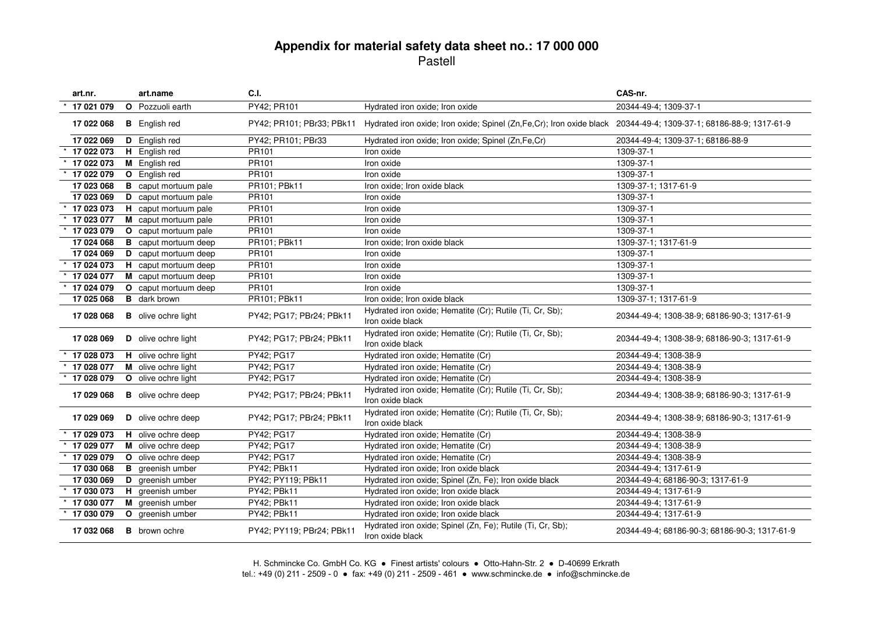| art.nr.    | art.name                    | C.I.                      |                                                                                                                                             | CAS-nr.                                       |
|------------|-----------------------------|---------------------------|---------------------------------------------------------------------------------------------------------------------------------------------|-----------------------------------------------|
| 17 021 079 | O Pozzuoli earth            | PY42; PR101               | Hydrated iron oxide; Iron oxide                                                                                                             | 20344-49-4; 1309-37-1                         |
| 17 022 068 | <b>B</b> English red        |                           | PY42; PR101; PBr33; PBk11 Hydrated iron oxide; Iron oxide; Spinel (Zn,Fe,Cr); Iron oxide black 20344-49-4; 1309-37-1; 68186-88-9; 1317-61-9 |                                               |
| 17 022 069 | D English red               | PY42; PR101; PBr33        | Hydrated iron oxide; Iron oxide; Spinel (Zn,Fe,Cr)                                                                                          | 20344-49-4; 1309-37-1; 68186-88-9             |
| 17 022 073 | H English red               | PR <sub>101</sub>         | Iron oxide                                                                                                                                  | 1309-37-1                                     |
| 17 022 073 | M English red               | PR <sub>101</sub>         | Iron oxide                                                                                                                                  | 1309-37-1                                     |
| 17 022 079 | <b>O</b> English red        | PR <sub>101</sub>         | Iron oxide                                                                                                                                  | 1309-37-1                                     |
| 17 023 068 | <b>B</b> caput mortuum pale | PR101; PBk11              | Iron oxide; Iron oxide black                                                                                                                | 1309-37-1; 1317-61-9                          |
| 17 023 069 | D caput mortuum pale        | PR101                     | Iron oxide                                                                                                                                  | 1309-37-1                                     |
| 17 023 073 | H caput mortuum pale        | PR101                     | Iron oxide                                                                                                                                  | 1309-37-1                                     |
| 17 023 077 | M caput mortuum pale        | PR <sub>101</sub>         | Iron oxide                                                                                                                                  | 1309-37-1                                     |
| 17 023 079 | O caput mortuum pale        | PR101                     | Iron oxide                                                                                                                                  | 1309-37-1                                     |
| 17 024 068 | <b>B</b> caput mortuum deep | PR101; PBk11              | Iron oxide; Iron oxide black                                                                                                                | 1309-37-1; 1317-61-9                          |
| 17 024 069 | D caput mortuum deep        | PR <sub>101</sub>         | Iron oxide                                                                                                                                  | 1309-37-1                                     |
| 17 024 073 | H caput mortuum deep        | PR101                     | Iron oxide                                                                                                                                  | 1309-37-1                                     |
| 17 024 077 | M caput mortuum deep        | PR101                     | Iron oxide                                                                                                                                  | 1309-37-1                                     |
| 17 024 079 | O caput mortuum deep        | PR101                     | Iron oxide                                                                                                                                  | 1309-37-1                                     |
| 17 025 068 | <b>B</b> dark brown         | PR101; PBk11              | Iron oxide; Iron oxide black                                                                                                                | 1309-37-1; 1317-61-9                          |
| 17 028 068 | <b>B</b> olive ochre light  | PY42; PG17; PBr24; PBk11  | Hydrated iron oxide; Hematite (Cr); Rutile (Ti, Cr, Sb);<br>Iron oxide black                                                                | 20344-49-4; 1308-38-9; 68186-90-3; 1317-61-9  |
| 17 028 069 | D olive ochre light         | PY42; PG17; PBr24; PBk11  | Hydrated iron oxide; Hematite (Cr); Rutile (Ti, Cr, Sb);<br>Iron oxide black                                                                | 20344-49-4; 1308-38-9; 68186-90-3; 1317-61-9  |
| 17 028 073 | H olive ochre light         | PY42; PG17                | Hydrated iron oxide; Hematite (Cr)                                                                                                          | 20344-49-4; 1308-38-9                         |
| 17 028 077 | M olive ochre light         | PY42; PG17                | Hydrated iron oxide; Hematite (Cr)                                                                                                          | 20344-49-4; 1308-38-9                         |
| 17 028 079 | O olive ochre light         | PY42; PG17                | Hydrated iron oxide; Hematite (Cr)                                                                                                          | 20344-49-4; 1308-38-9                         |
| 17 029 068 | <b>B</b> olive ochre deep   | PY42; PG17; PBr24; PBk11  | Hydrated iron oxide; Hematite (Cr); Rutile (Ti, Cr, Sb);<br>Iron oxide black                                                                | 20344-49-4; 1308-38-9; 68186-90-3; 1317-61-9  |
| 17 029 069 | D olive ochre deep          | PY42; PG17; PBr24; PBk11  | Hydrated iron oxide; Hematite (Cr); Rutile (Ti, Cr, Sb);<br>Iron oxide black                                                                | 20344-49-4; 1308-38-9; 68186-90-3; 1317-61-9  |
| 17 029 073 | H olive ochre deep          | PY42; PG17                | Hydrated iron oxide; Hematite (Cr)                                                                                                          | 20344-49-4; 1308-38-9                         |
| 17 029 077 | M olive ochre deep          | PY42; PG17                | Hydrated iron oxide; Hematite (Cr)                                                                                                          | 20344-49-4; 1308-38-9                         |
| 17 029 079 | O olive ochre deep          | PY42; PG17                | Hydrated iron oxide; Hematite (Cr)                                                                                                          | 20344-49-4; 1308-38-9                         |
| 17 030 068 | <b>B</b> greenish umber     | PY42; PBk11               | Hydrated iron oxide; Iron oxide black                                                                                                       | 20344-49-4; 1317-61-9                         |
| 17 030 069 | D greenish umber            | PY42; PY119; PBk11        | Hydrated iron oxide; Spinel (Zn, Fe); Iron oxide black                                                                                      | 20344-49-4; 68186-90-3; 1317-61-9             |
| 17 030 073 | H greenish umber            | PY42; PBk11               | Hydrated iron oxide; Iron oxide black                                                                                                       | 20344-49-4; 1317-61-9                         |
| 17 030 077 | M greenish umber            | PY42; PBk11               | Hydrated iron oxide; Iron oxide black                                                                                                       | 20344-49-4; 1317-61-9                         |
| 17 030 079 | O greenish umber            | PY42; PBk11               | Hydrated iron oxide; Iron oxide black                                                                                                       | 20344-49-4; 1317-61-9                         |
| 17 032 068 | <b>B</b> brown ochre        | PY42; PY119; PBr24; PBk11 | Hydrated iron oxide; Spinel (Zn, Fe); Rutile (Ti, Cr, Sb);<br>Iron oxide black                                                              | 20344-49-4; 68186-90-3; 68186-90-3; 1317-61-9 |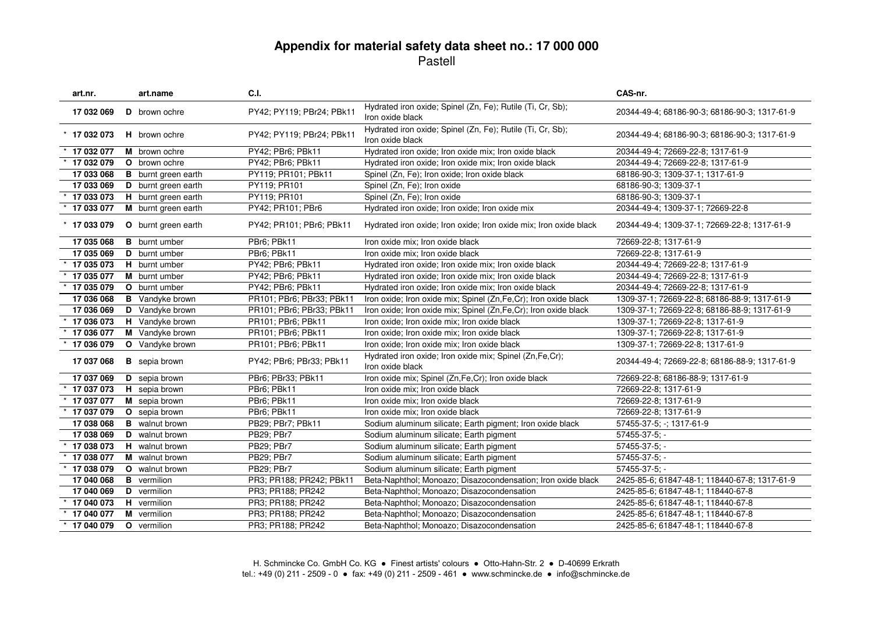| art.nr.        | art.name                   | C.I.                      |                                                                                | CAS-nr.                                       |
|----------------|----------------------------|---------------------------|--------------------------------------------------------------------------------|-----------------------------------------------|
| 17 032 069     | <b>D</b> brown ochre       | PY42; PY119; PBr24; PBk11 | Hydrated iron oxide; Spinel (Zn, Fe); Rutile (Ti, Cr, Sb);<br>Iron oxide black | 20344-49-4; 68186-90-3; 68186-90-3; 1317-61-9 |
| $*$ 17 032 073 | <b>H</b> brown ochre       | PY42; PY119; PBr24; PBk11 | Hydrated iron oxide; Spinel (Zn, Fe); Rutile (Ti, Cr, Sb);<br>Iron oxide black | 20344-49-4; 68186-90-3; 68186-90-3; 1317-61-9 |
| 17 032 077     | M brown ochre              | PY42; PBr6; PBk11         | Hydrated iron oxide; Iron oxide mix; Iron oxide black                          | 20344-49-4; 72669-22-8; 1317-61-9             |
| 17 032 079     | O brown ochre              | PY42; PBr6; PBk11         | Hydrated iron oxide; Iron oxide mix; Iron oxide black                          | 20344-49-4; 72669-22-8; 1317-61-9             |
| 17 033 068     | <b>B</b> burnt green earth | PY119; PR101; PBk11       | Spinel (Zn, Fe); Iron oxide; Iron oxide black                                  | 68186-90-3; 1309-37-1; 1317-61-9              |
| 17 033 069     | D burnt green earth        | PY119; PR101              | Spinel (Zn, Fe); Iron oxide                                                    | 68186-90-3; 1309-37-1                         |
| 17 033 073     | H burnt green earth        | PY119; PR101              | Spinel (Zn, Fe); Iron oxide                                                    | 68186-90-3; 1309-37-1                         |
| 17 033 077     | M burnt green earth        | PY42; PR101; PBr6         | Hydrated iron oxide; Iron oxide; Iron oxide mix                                | 20344-49-4; 1309-37-1; 72669-22-8             |
| $*$ 17 033 079 | <b>O</b> burnt green earth | PY42; PR101; PBr6; PBk11  | Hydrated iron oxide; Iron oxide; Iron oxide mix; Iron oxide black              | 20344-49-4; 1309-37-1; 72669-22-8; 1317-61-9  |
| 17 035 068     | <b>B</b> burnt umber       | PBr6; PBk11               | Iron oxide mix; Iron oxide black                                               | 72669-22-8; 1317-61-9                         |
| 17 035 069     | <b>D</b> burnt umber       | PBr6; PBk11               | Iron oxide mix; Iron oxide black                                               | 72669-22-8; 1317-61-9                         |
| 17 035 073     | H burnt umber              | PY42; PBr6; PBk11         | Hydrated iron oxide; Iron oxide mix; Iron oxide black                          | 20344-49-4; 72669-22-8; 1317-61-9             |
| 17 035 077     | <b>M</b> burnt umber       | PY42; PBr6; PBk11         | Hydrated iron oxide; Iron oxide mix; Iron oxide black                          | 20344-49-4; 72669-22-8; 1317-61-9             |
| 17 035 079     | O burnt umber              | PY42; PBr6; PBk11         | Hydrated iron oxide; Iron oxide mix; Iron oxide black                          | 20344-49-4; 72669-22-8; 1317-61-9             |
| 17 036 068     | <b>B</b> Vandyke brown     | PR101; PBr6; PBr33; PBk11 | Iron oxide; Iron oxide mix; Spinel (Zn,Fe,Cr); Iron oxide black                | 1309-37-1; 72669-22-8; 68186-88-9; 1317-61-9  |
| 17 036 069     | D Vandyke brown            | PR101; PBr6; PBr33; PBk11 | Iron oxide; Iron oxide mix; Spinel (Zn,Fe,Cr); Iron oxide black                | 1309-37-1; 72669-22-8; 68186-88-9; 1317-61-9  |
| 17 036 073     | H Vandyke brown            | PR101; PBr6; PBk11        | Iron oxide; Iron oxide mix; Iron oxide black                                   | 1309-37-1; 72669-22-8; 1317-61-9              |
| 17 036 077     | M Vandyke brown            | PR101; PBr6; PBk11        | Iron oxide: Iron oxide mix: Iron oxide black                                   | 1309-37-1; 72669-22-8; 1317-61-9              |
| 17 036 079     | O Vandyke brown            | PR101; PBr6; PBk11        | Iron oxide; Iron oxide mix; Iron oxide black                                   | 1309-37-1; 72669-22-8; 1317-61-9              |
| 17 037 068     | <b>B</b> sepia brown       | PY42; PBr6; PBr33; PBk11  | Hydrated iron oxide; Iron oxide mix; Spinel (Zn,Fe,Cr);<br>Iron oxide black    | 20344-49-4; 72669-22-8; 68186-88-9; 1317-61-9 |
| 17 037 069     | D sepia brown              | PBr6; PBr33; PBk11        | Iron oxide mix; Spinel (Zn,Fe,Cr); Iron oxide black                            | 72669-22-8; 68186-88-9; 1317-61-9             |
| 17 037 073     | H sepia brown              | PBr6; PBk11               | Iron oxide mix; Iron oxide black                                               | 72669-22-8; 1317-61-9                         |
| 17 037 077     | M sepia brown              | PBr6; PBk11               | Iron oxide mix; Iron oxide black                                               | 72669-22-8; 1317-61-9                         |
| 17 037 079     | O sepia brown              | PBr6; PBk11               | Iron oxide mix; Iron oxide black                                               | 72669-22-8; 1317-61-9                         |
| 17 038 068     | <b>B</b> walnut brown      | PB29; PBr7; PBk11         | Sodium aluminum silicate; Earth pigment; Iron oxide black                      | 57455-37-5; -; 1317-61-9                      |
| 17 038 069     | D walnut brown             | PB29; PBr7                | Sodium aluminum silicate; Earth pigment                                        | 57455-37-5; -                                 |
| 17 038 073     | H walnut brown             | PB29; PBr7                | Sodium aluminum silicate; Earth pigment                                        | $57455 - 37 - 5$ ; -                          |
| 17 038 077     | M walnut brown             | PB29; PBr7                | Sodium aluminum silicate; Earth pigment                                        | $57455-37-5; -$                               |
| 17 038 079     | O walnut brown             | PB29; PBr7                | Sodium aluminum silicate; Earth pigment                                        | 57455-37-5; -                                 |
| 17 040 068     | <b>B</b> vermilion         | PR3; PR188; PR242; PBk11  | Beta-Naphthol; Monoazo; Disazocondensation; Iron oxide black                   | 2425-85-6; 61847-48-1; 118440-67-8; 1317-61-9 |
| 17 040 069     | <b>D</b> vermilion         | PR3; PR188; PR242         | Beta-Naphthol; Monoazo; Disazocondensation                                     | 2425-85-6; 61847-48-1; 118440-67-8            |
| 17 040 073     | H vermilion                | PR3; PR188; PR242         | Beta-Naphthol; Monoazo; Disazocondensation                                     | 2425-85-6; 61847-48-1; 118440-67-8            |
| 17 040 077     | M vermilion                | PR3; PR188; PR242         | Beta-Naphthol; Monoazo; Disazocondensation                                     | 2425-85-6; 61847-48-1; 118440-67-8            |
| 17 040 079     | O vermilion                | PR3; PR188; PR242         | Beta-Naphthol; Monoazo; Disazocondensation                                     | 2425-85-6; 61847-48-1; 118440-67-8            |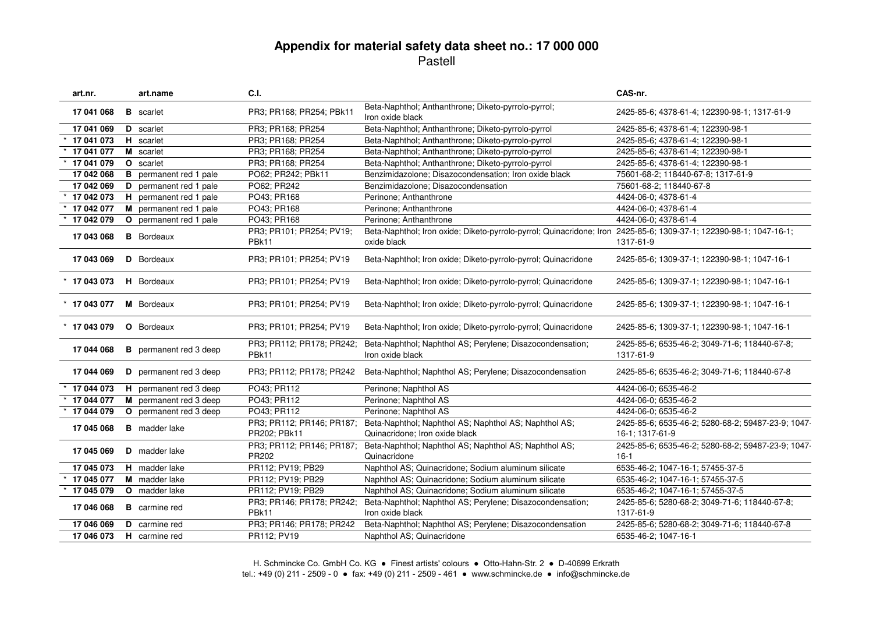| art.nr.        |              | art.name                      | C.I.                                      |                                                                                                                                   | CAS-nr.                                                               |
|----------------|--------------|-------------------------------|-------------------------------------------|-----------------------------------------------------------------------------------------------------------------------------------|-----------------------------------------------------------------------|
| 17 041 068     |              | <b>B</b> scarlet              | PR3; PR168; PR254; PBk11                  | Beta-Naphthol; Anthanthrone; Diketo-pyrrolo-pyrrol;<br>Iron oxide black                                                           | 2425-85-6; 4378-61-4; 122390-98-1; 1317-61-9                          |
| 17 041 069     |              | D scarlet                     | PR3; PR168; PR254                         | Beta-Naphthol; Anthanthrone; Diketo-pyrrolo-pyrrol                                                                                | 2425-85-6; 4378-61-4; 122390-98-1                                     |
| 17 041 073     |              | H scarlet                     | PR3; PR168; PR254                         | Beta-Naphthol; Anthanthrone; Diketo-pyrrolo-pyrrol                                                                                | 2425-85-6; 4378-61-4; 122390-98-1                                     |
| 17 041 077     |              | M scarlet                     | PR3; PR168; PR254                         | Beta-Naphthol; Anthanthrone; Diketo-pyrrolo-pyrrol                                                                                | 2425-85-6; 4378-61-4; 122390-98-1                                     |
| 17 041 079     |              | O scarlet                     | PR3; PR168; PR254                         | Beta-Naphthol; Anthanthrone; Diketo-pyrrolo-pyrrol                                                                                | 2425-85-6; 4378-61-4; 122390-98-1                                     |
| 17 042 068     | в            | permanent red 1 pale          | PO62; PR242; PBk11                        | Benzimidazolone; Disazocondensation; Iron oxide black                                                                             | 75601-68-2; 118440-67-8; 1317-61-9                                    |
| 17 042 069     | D            | permanent red 1 pale          | PO62; PR242                               | Benzimidazolone; Disazocondensation                                                                                               | 75601-68-2; 118440-67-8                                               |
| 17 042 073     |              | H permanent red 1 pale        | PO43; PR168                               | Perinone: Anthanthrone                                                                                                            | 4424-06-0; 4378-61-4                                                  |
| 17 042 077     |              | M permanent red 1 pale        | PO43; PR168                               | Perinone; Anthanthrone                                                                                                            | 4424-06-0; 4378-61-4                                                  |
| 17 042 079     |              | O permanent red 1 pale        | PO43; PR168                               | Perinone: Anthanthrone                                                                                                            | 4424-06-0; 4378-61-4                                                  |
| 17 043 068     |              | <b>B</b> Bordeaux             | PR3; PR101; PR254; PV19;<br>PBk11         | Beta-Naphthol; Iron oxide; Diketo-pyrrolo-pyrrol; Quinacridone; Iron 2425-85-6; 1309-37-1; 122390-98-1; 1047-16-1;<br>oxide black | 1317-61-9                                                             |
| 17 043 069     |              | <b>D</b> Bordeaux             | PR3; PR101; PR254; PV19                   | Beta-Naphthol; Iron oxide; Diketo-pyrrolo-pyrrol; Quinacridone                                                                    | 2425-85-6; 1309-37-1; 122390-98-1; 1047-16-1                          |
| $*$ 17 043 073 |              | <b>H</b> Bordeaux             | PR3; PR101; PR254; PV19                   | Beta-Naphthol; Iron oxide; Diketo-pyrrolo-pyrrol; Quinacridone                                                                    | 2425-85-6; 1309-37-1; 122390-98-1; 1047-16-1                          |
| $*$ 17 043 077 |              | <b>M</b> Bordeaux             | PR3; PR101; PR254; PV19                   | Beta-Naphthol; Iron oxide; Diketo-pyrrolo-pyrrol; Quinacridone                                                                    | 2425-85-6; 1309-37-1; 122390-98-1; 1047-16-1                          |
| $*$ 17 043 079 |              | <b>O</b> Bordeaux             | PR3; PR101; PR254; PV19                   | Beta-Naphthol; Iron oxide; Diketo-pyrrolo-pyrrol; Quinacridone                                                                    | 2425-85-6; 1309-37-1; 122390-98-1; 1047-16-1                          |
| 17 044 068     |              | <b>B</b> permanent red 3 deep | PR3; PR112; PR178; PR242;<br>PBk11        | Beta-Naphthol; Naphthol AS; Perylene; Disazocondensation;<br>Iron oxide black                                                     | 2425-85-6; 6535-46-2; 3049-71-6; 118440-67-8;<br>1317-61-9            |
| 17 044 069     |              | <b>D</b> permanent red 3 deep | PR3; PR112; PR178; PR242                  | Beta-Naphthol; Naphthol AS; Perylene; Disazocondensation                                                                          | 2425-85-6; 6535-46-2; 3049-71-6; 118440-67-8                          |
| 17 044 073     |              | H permanent red 3 deep        | PO43; PR112                               | Perinone; Naphthol AS                                                                                                             | 4424-06-0; 6535-46-2                                                  |
| 17 044 077     |              | M permanent red 3 deep        | PO43; PR112                               | Perinone; Naphthol AS                                                                                                             | 4424-06-0; 6535-46-2                                                  |
| 17 044 079     | $\mathbf{o}$ | permanent red 3 deep          | PO43; PR112                               | Perinone; Naphthol AS                                                                                                             | 4424-06-0; 6535-46-2                                                  |
| 17 045 068     |              | <b>B</b> madder lake          | PR3; PR112; PR146; PR187;<br>PR202; PBk11 | Beta-Naphthol; Naphthol AS; Naphthol AS; Naphthol AS;<br>Quinacridone; Iron oxide black                                           | 2425-85-6; 6535-46-2; 5280-68-2; 59487-23-9; 1047-<br>16-1: 1317-61-9 |
| 17 045 069     |              | D madder lake                 | PR3; PR112; PR146; PR187;<br>PR202        | Beta-Naphthol; Naphthol AS; Naphthol AS; Naphthol AS;<br>Quinacridone                                                             | 2425-85-6; 6535-46-2; 5280-68-2; 59487-23-9; 1047-<br>$16-1$          |
| 17 045 073     |              | H madder lake                 | PR112; PV19; PB29                         | Naphthol AS; Quinacridone; Sodium aluminum silicate                                                                               | 6535-46-2; 1047-16-1; 57455-37-5                                      |
| 17 045 077     |              | M madder lake                 | PR112; PV19; PB29                         | Naphthol AS; Quinacridone; Sodium aluminum silicate                                                                               | 6535-46-2; 1047-16-1; 57455-37-5                                      |
| 17 045 079     |              | O madder lake                 | PR112; PV19; PB29                         | Naphthol AS; Quinacridone; Sodium aluminum silicate                                                                               | 6535-46-2; 1047-16-1; 57455-37-5                                      |
| 17 046 068     |              | <b>B</b> carmine red          | PR3; PR146; PR178; PR242;<br>PBk11        | Beta-Naphthol; Naphthol AS; Perylene; Disazocondensation;<br>Iron oxide black                                                     | 2425-85-6; 5280-68-2; 3049-71-6; 118440-67-8;<br>1317-61-9            |
| 17 046 069     |              | <b>D</b> carmine red          | PR3; PR146; PR178; PR242                  | Beta-Naphthol; Naphthol AS; Perylene; Disazocondensation                                                                          | 2425-85-6; 5280-68-2; 3049-71-6; 118440-67-8                          |
| 17 046 073     |              | H carmine red                 | PR112; PV19                               | Naphthol AS; Quinacridone                                                                                                         | 6535-46-2; 1047-16-1                                                  |
|                |              |                               |                                           |                                                                                                                                   |                                                                       |

H. Schmincke Co. GmbH Co. KG ● Finest artists' colours ● Otto-Hahn-Str. 2 ● D-40699 Erkrath tel.: +49 (0) 211 - 2509 - 0 ● fax: +49 (0) 211 - 2509 - 461 ● www.schmincke.de ● info@schmincke.de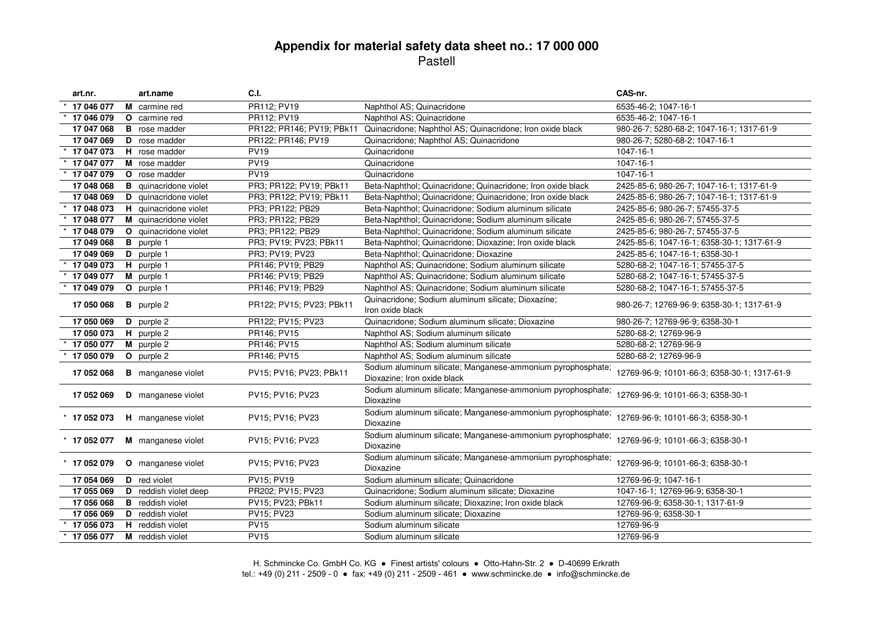| art.nr.        |   | art.name                     | C.I.                      |                                                                                            | CAS-nr.                                      |
|----------------|---|------------------------------|---------------------------|--------------------------------------------------------------------------------------------|----------------------------------------------|
| 17 046 077     |   | M carmine red                | PR112; PV19               | Naphthol AS; Quinacridone                                                                  | 6535-46-2; 1047-16-1                         |
| 17 046 079     |   | <b>O</b> carmine red         | PR112; PV19               | Naphthol AS; Quinacridone                                                                  | 6535-46-2; 1047-16-1                         |
| 17 047 068     |   | <b>B</b> rose madder         | PR122; PR146; PV19; PBk11 | Quinacridone; Naphthol AS; Quinacridone; Iron oxide black                                  | 980-26-7; 5280-68-2; 1047-16-1; 1317-61-9    |
| 17 047 069     |   | D rose madder                | PR122; PR146; PV19        | Quinacridone; Naphthol AS; Quinacridone                                                    | 980-26-7; 5280-68-2; 1047-16-1               |
| 17 047 073     |   | H rose madder                | <b>PV19</b>               | Quinacridone                                                                               | 1047-16-1                                    |
| 17 047 077     |   | M rose madder                | <b>PV19</b>               | Quinacridone                                                                               | 1047-16-1                                    |
| 17 047 079     |   | O rose madder                | <b>PV19</b>               | Quinacridone                                                                               | 1047-16-1                                    |
| 17 048 068     | в | quinacridone violet          | PR3; PR122; PV19; PBk11   | Beta-Naphthol; Quinacridone; Quinacridone; Iron oxide black                                | 2425-85-6; 980-26-7; 1047-16-1; 1317-61-9    |
| 17 048 069     |   | <b>D</b> quinacridone violet | PR3; PR122; PV19; PBk11   | Beta-Naphthol; Quinacridone; Quinacridone; Iron oxide black                                | 2425-85-6; 980-26-7; 1047-16-1; 1317-61-9    |
| 17 048 073     |   | H quinacridone violet        | PR3; PR122; PB29          | Beta-Naphthol; Quinacridone; Sodium aluminum silicate                                      | 2425-85-6; 980-26-7; 57455-37-5              |
| 17 048 077     |   | M quinacridone violet        | PR3; PR122; PB29          | Beta-Naphthol; Quinacridone; Sodium aluminum silicate                                      | 2425-85-6; 980-26-7; 57455-37-5              |
| 17 048 079     |   | O quinacridone violet        | PR3; PR122; PB29          | Beta-Naphthol; Quinacridone; Sodium aluminum silicate                                      | 2425-85-6; 980-26-7; 57455-37-5              |
| 17 049 068     |   | <b>B</b> purple 1            | PR3; PV19; PV23; PBk11    | Beta-Naphthol; Quinacridone; Dioxazine; Iron oxide black                                   | 2425-85-6; 1047-16-1; 6358-30-1; 1317-61-9   |
| 17 049 069     |   | D purple 1                   | PR3; PV19; PV23           | Beta-Naphthol; Quinacridone; Dioxazine                                                     | 2425-85-6; 1047-16-1; 6358-30-1              |
| 17 049 073     |   | H purple 1                   | PR146; PV19; PB29         | Naphthol AS; Quinacridone; Sodium aluminum silicate                                        | 5280-68-2; 1047-16-1; 57455-37-5             |
| 17 049 077     |   | M purple 1                   | PR146; PV19; PB29         | Naphthol AS; Quinacridone; Sodium aluminum silicate                                        | 5280-68-2; 1047-16-1; 57455-37-5             |
| 17 049 079     |   | O purple 1                   | PR146; PV19; PB29         | Naphthol AS; Quinacridone; Sodium aluminum silicate                                        | 5280-68-2; 1047-16-1; 57455-37-5             |
| 17 050 068     |   | <b>B</b> purple 2            | PR122; PV15; PV23; PBk11  | Quinacridone; Sodium aluminum silicate; Dioxazine;<br>Iron oxide black                     | 980-26-7; 12769-96-9; 6358-30-1; 1317-61-9   |
| 17 050 069     |   | D purple 2                   | PR122; PV15; PV23         | Quinacridone; Sodium aluminum silicate; Dioxazine                                          | 980-26-7; 12769-96-9; 6358-30-1              |
| 17 050 073     |   | H purple 2                   | PR146; PV15               | Naphthol AS; Sodium aluminum silicate                                                      | 5280-68-2; 12769-96-9                        |
| 17 050 077     |   | M purple 2                   | PR146; PV15               | Naphthol AS; Sodium aluminum silicate                                                      | 5280-68-2; 12769-96-9                        |
| 17 050 079     |   | O purple 2                   | PR146; PV15               | Naphthol AS; Sodium aluminum silicate                                                      | 5280-68-2; 12769-96-9                        |
| 17 052 068     |   | <b>B</b> manganese violet    | PV15; PV16; PV23; PBk11   | Sodium aluminum silicate; Manganese-ammonium pyrophosphate;<br>Dioxazine; Iron oxide black | 12769-96-9; 10101-66-3; 6358-30-1; 1317-61-9 |
| 17 052 069     |   | D manganese violet           | PV15; PV16; PV23          | Sodium aluminum silicate; Manganese-ammonium pyrophosphate;<br>Dioxazine                   | 12769-96-9; 10101-66-3; 6358-30-1            |
| $*$ 17 052 073 |   | <b>H</b> manganese violet    | PV15; PV16; PV23          | Sodium aluminum silicate; Manganese-ammonium pyrophosphate;<br>Dioxazine                   | 12769-96-9; 10101-66-3; 6358-30-1            |
| $*$ 17 052 077 |   | M manganese violet           | PV15; PV16; PV23          | Sodium aluminum silicate; Manganese-ammonium pyrophosphate;<br>Dioxazine                   | 12769-96-9; 10101-66-3; 6358-30-1            |
| $*$ 17 052 079 |   | <b>O</b> manganese violet    | PV15; PV16; PV23          | Sodium aluminum silicate; Manganese-ammonium pyrophosphate;<br>Dioxazine                   | 12769-96-9; 10101-66-3; 6358-30-1            |
| 17 054 069     |   | <b>D</b> red violet          | PV15: PV19                | Sodium aluminum silicate; Quinacridone                                                     | 12769-96-9; 1047-16-1                        |
| 17 055 069     |   | D reddish violet deep        | PR202; PV15; PV23         | Quinacridone; Sodium aluminum silicate; Dioxazine                                          | 1047-16-1; 12769-96-9; 6358-30-1             |
| 17 056 068     | в | reddish violet               | PV15; PV23; PBk11         | Sodium aluminum silicate; Dioxazine; Iron oxide black                                      | 12769-96-9; 6358-30-1; 1317-61-9             |
| 17 056 069     |   | D reddish violet             | PV15; PV23                | Sodium aluminum silicate; Dioxazine                                                        | 12769-96-9; 6358-30-1                        |
| 17 056 073     |   | H reddish violet             | <b>PV15</b>               | Sodium aluminum silicate                                                                   | 12769-96-9                                   |
| 17 056 077     |   | M reddish violet             | <b>PV15</b>               | Sodium aluminum silicate                                                                   | 12769-96-9                                   |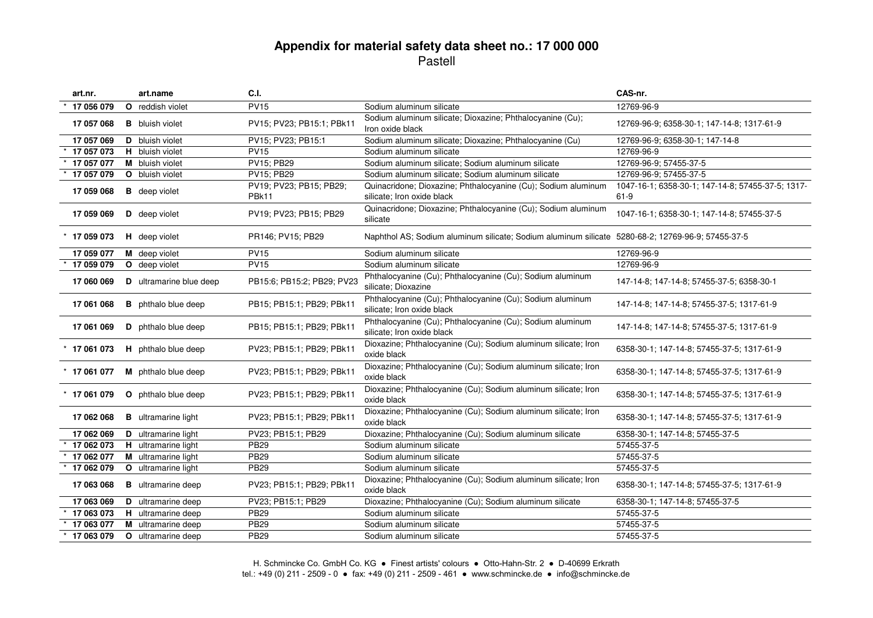| art.nr.        | art.name                       | C.I.                             |                                                                                                   | CAS-nr.                                                     |
|----------------|--------------------------------|----------------------------------|---------------------------------------------------------------------------------------------------|-------------------------------------------------------------|
| 17 056 079     | O reddish violet               | <b>PV15</b>                      | Sodium aluminum silicate                                                                          | 12769-96-9                                                  |
| 17 057 068     | <b>B</b> bluish violet         | PV15; PV23; PB15:1; PBk11        | Sodium aluminum silicate; Dioxazine; Phthalocyanine (Cu);<br>Iron oxide black                     | 12769-96-9; 6358-30-1; 147-14-8; 1317-61-9                  |
| 17 057 069     | D bluish violet                | PV15; PV23; PB15:1               | Sodium aluminum silicate; Dioxazine; Phthalocyanine (Cu)                                          | 12769-96-9; 6358-30-1; 147-14-8                             |
| 17 057 073     | H bluish violet                | <b>PV15</b>                      | Sodium aluminum silicate                                                                          | 12769-96-9                                                  |
| 17 057 077     | M bluish violet                | PV15; PB29                       | Sodium aluminum silicate; Sodium aluminum silicate                                                | 12769-96-9; 57455-37-5                                      |
| 17 057 079     | O bluish violet                | <b>PV15: PB29</b>                | Sodium aluminum silicate: Sodium aluminum silicate                                                | 12769-96-9; 57455-37-5                                      |
| 17 059 068     | <b>B</b> deep violet           | PV19; PV23; PB15; PB29;<br>PBk11 | Quinacridone; Dioxazine; Phthalocyanine (Cu); Sodium aluminum<br>silicate; Iron oxide black       | 1047-16-1; 6358-30-1; 147-14-8; 57455-37-5; 1317-<br>$61-9$ |
| 17 059 069     | D deep violet                  | PV19; PV23; PB15; PB29           | Quinacridone; Dioxazine; Phthalocyanine (Cu); Sodium aluminum<br>silicate                         | 1047-16-1; 6358-30-1; 147-14-8; 57455-37-5                  |
| $*$ 17 059 073 | H deep violet                  | PR146; PV15; PB29                | Naphthol AS; Sodium aluminum silicate; Sodium aluminum silicate 5280-68-2; 12769-96-9; 57455-37-5 |                                                             |
| 17 059 077     | M deep violet                  | $\overline{PV}15$                | Sodium aluminum silicate                                                                          | 12769-96-9                                                  |
| 17 059 079     | O deep violet                  | <b>PV15</b>                      | Sodium aluminum silicate                                                                          | 12769-96-9                                                  |
| 17 060 069     | <b>D</b> ultramarine blue deep | PB15:6; PB15:2; PB29; PV23       | Phthalocyanine (Cu); Phthalocyanine (Cu); Sodium aluminum<br>silicate: Dioxazine                  | 147-14-8; 147-14-8; 57455-37-5; 6358-30-1                   |
| 17 061 068     | <b>B</b> phthalo blue deep     | PB15; PB15:1; PB29; PBk11        | Phthalocyanine (Cu); Phthalocyanine (Cu); Sodium aluminum<br>silicate; Iron oxide black           | 147-14-8; 147-14-8; 57455-37-5; 1317-61-9                   |
| 17 061 069     | <b>D</b> phthalo blue deep     | PB15; PB15:1; PB29; PBk11        | Phthalocyanine (Cu); Phthalocyanine (Cu); Sodium aluminum<br>silicate; Iron oxide black           | 147-14-8; 147-14-8; 57455-37-5; 1317-61-9                   |
| 17 061 073     | H phthalo blue deep            | PV23; PB15:1; PB29; PBk11        | Dioxazine; Phthalocyanine (Cu); Sodium aluminum silicate; Iron<br>oxide black                     | 6358-30-1; 147-14-8; 57455-37-5; 1317-61-9                  |
| 17 061 077     | M phthalo blue deep            | PV23; PB15:1; PB29; PBk11        | Dioxazine; Phthalocyanine (Cu); Sodium aluminum silicate; Iron<br>oxide black                     | 6358-30-1; 147-14-8; 57455-37-5; 1317-61-9                  |
| $*$ 17 061 079 | <b>O</b> phthalo blue deep     | PV23; PB15:1; PB29; PBk11        | Dioxazine; Phthalocyanine (Cu); Sodium aluminum silicate; Iron<br>oxide black                     | 6358-30-1; 147-14-8; 57455-37-5; 1317-61-9                  |
| 17 062 068     | <b>B</b> ultramarine light     | PV23; PB15:1; PB29; PBk11        | Dioxazine; Phthalocyanine (Cu); Sodium aluminum silicate; Iron<br>oxide black                     | 6358-30-1; 147-14-8; 57455-37-5; 1317-61-9                  |
| 17 062 069     | <b>D</b> ultramarine light     | PV23; PB15:1; PB29               | Dioxazine; Phthalocyanine (Cu); Sodium aluminum silicate                                          | 6358-30-1; 147-14-8; 57455-37-5                             |
| 17 062 073     | H ultramarine light            | <b>PB29</b>                      | Sodium aluminum silicate                                                                          | 57455-37-5                                                  |
| 17 062 077     | M ultramarine light            | <b>PB29</b>                      | Sodium aluminum silicate                                                                          | 57455-37-5                                                  |
| 17 062 079     | O ultramarine light            | <b>PB29</b>                      | Sodium aluminum silicate                                                                          | 57455-37-5                                                  |
| 17 063 068     | <b>B</b> ultramarine deep      | PV23; PB15:1; PB29; PBk11        | Dioxazine; Phthalocyanine (Cu); Sodium aluminum silicate; Iron<br>oxide black                     | 6358-30-1; 147-14-8; 57455-37-5; 1317-61-9                  |
| 17 063 069     | <b>D</b> ultramarine deep      | PV23; PB15:1; PB29               | Dioxazine; Phthalocyanine (Cu); Sodium aluminum silicate                                          | 6358-30-1; 147-14-8; 57455-37-5                             |
| 17 063 073     | H ultramarine deep             | <b>PB29</b>                      | Sodium aluminum silicate                                                                          | 57455-37-5                                                  |
| 17 063 077     | M ultramarine deep             | <b>PB29</b>                      | Sodium aluminum silicate                                                                          | 57455-37-5                                                  |
| 17 063 079     | O ultramarine deep             | <b>PB29</b>                      | Sodium aluminum silicate                                                                          | 57455-37-5                                                  |

H. Schmincke Co. GmbH Co. KG ● Finest artists' colours ● Otto-Hahn-Str. 2 ● D-40699 Erkrath tel.: +49 (0) 211 - 2509 - 0 ● fax: +49 (0) 211 - 2509 - 461 ● www.schmincke.de ● info@schmincke.de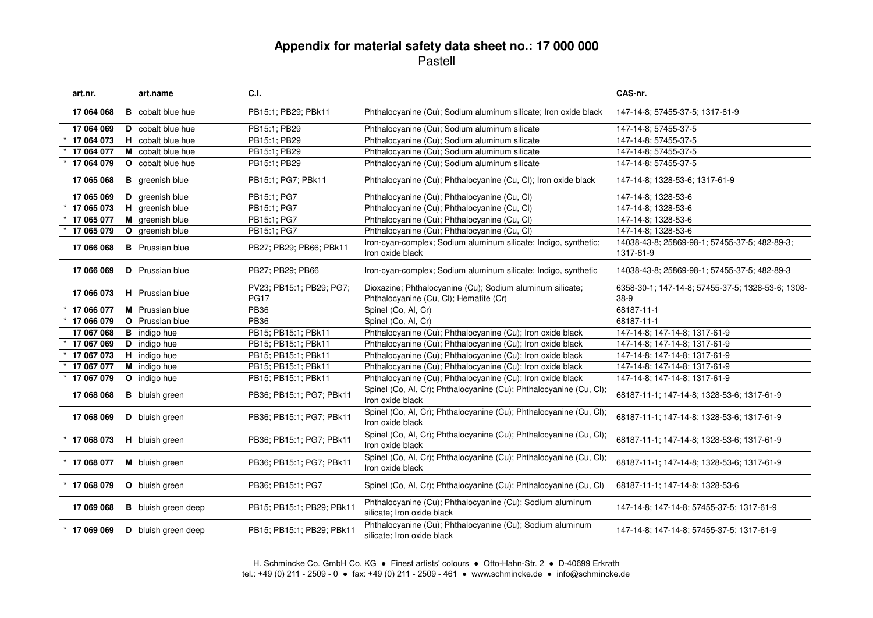| art.nr.        | art.name                   | C.I.                                    |                                                                                                     | CAS-nr.                                                     |
|----------------|----------------------------|-----------------------------------------|-----------------------------------------------------------------------------------------------------|-------------------------------------------------------------|
| 17 064 068     | <b>B</b> cobalt blue hue   | PB15:1; PB29; PBk11                     | Phthalocyanine (Cu); Sodium aluminum silicate; Iron oxide black                                     | 147-14-8; 57455-37-5; 1317-61-9                             |
| 17 064 069     | D cobalt blue hue          | PB15:1; PB29                            | Phthalocyanine (Cu); Sodium aluminum silicate                                                       | 147-14-8; 57455-37-5                                        |
| 17 064 073     | H cobalt blue hue          | PB15:1: PB29                            | Phthalocyanine (Cu); Sodium aluminum silicate                                                       | 147-14-8; 57455-37-5                                        |
| 17 064 077     | M cobalt blue hue          | PB15:1; PB29                            | Phthalocyanine (Cu); Sodium aluminum silicate                                                       | 147-14-8; 57455-37-5                                        |
| 17 064 079     | <b>O</b> cobalt blue hue   | PB15:1; PB29                            | Phthalocyanine (Cu); Sodium aluminum silicate                                                       | 147-14-8; 57455-37-5                                        |
| 17 065 068     | <b>B</b> greenish blue     | PB15:1; PG7; PBk11                      | Phthalocyanine (Cu); Phthalocyanine (Cu, Cl); Iron oxide black                                      | 147-14-8; 1328-53-6; 1317-61-9                              |
| 17 065 069     | D greenish blue            | PB15:1; PG7                             | Phthalocyanine (Cu); Phthalocyanine (Cu, Cl)                                                        | 147-14-8; 1328-53-6                                         |
| 17 065 073     | H greenish blue            | PB15:1; PG7                             | Phthalocyanine (Cu); Phthalocyanine (Cu, Cl)                                                        | 147-14-8; 1328-53-6                                         |
| 17 065 077     | M greenish blue            | PB15:1; PG7                             | Phthalocyanine (Cu); Phthalocyanine (Cu, Cl)                                                        | 147-14-8; 1328-53-6                                         |
| 17 065 079     | O greenish blue            | PB15:1; PG7                             | Phthalocyanine (Cu); Phthalocyanine (Cu, Cl)                                                        | 147-14-8; 1328-53-6                                         |
| 17 066 068     | <b>B</b> Prussian blue     | PB27; PB29; PB66; PBk11                 | Iron-cyan-complex; Sodium aluminum silicate; Indigo, synthetic;<br>Iron oxide black                 | 14038-43-8; 25869-98-1; 57455-37-5; 482-89-3;<br>1317-61-9  |
| 17 066 069     | <b>D</b> Prussian blue     | PB27; PB29; PB66                        | Iron-cyan-complex; Sodium aluminum silicate; Indigo, synthetic                                      | 14038-43-8; 25869-98-1; 57455-37-5; 482-89-3                |
| 17 066 073     | H Prussian blue            | PV23; PB15:1; PB29; PG7;<br><b>PG17</b> | Dioxazine; Phthalocyanine (Cu); Sodium aluminum silicate;<br>Phthalocyanine (Cu, Cl); Hematite (Cr) | 6358-30-1; 147-14-8; 57455-37-5; 1328-53-6; 1308-<br>$38-9$ |
| 17 066 077     | M Prussian blue            | <b>PB36</b>                             | Spinel (Co, Al, Cr)                                                                                 | 68187-11-1                                                  |
| 17 066 079     | <b>O</b> Prussian blue     | <b>PB36</b>                             | Spinel (Co, Al, Cr)                                                                                 | 68187-11-1                                                  |
| 17 067 068     | <b>B</b> indigo hue        | PB15; PB15:1; PBk11                     | Phthalocyanine (Cu); Phthalocyanine (Cu); Iron oxide black                                          | 147-14-8; 147-14-8; 1317-61-9                               |
| 17 067 069     | <b>D</b> indigo hue        | PB15; PB15:1; PBk11                     | Phthalocyanine (Cu); Phthalocyanine (Cu); Iron oxide black                                          | 147-14-8; 147-14-8; 1317-61-9                               |
| 17 067 073     | H indigo hue               | PB15; PB15:1; PBk11                     | Phthalocyanine (Cu); Phthalocyanine (Cu); Iron oxide black                                          | 147-14-8; 147-14-8; 1317-61-9                               |
| 17 067 077     | M indigo hue               | PB15; PB15:1; PBk11                     | Phthalocyanine (Cu); Phthalocyanine (Cu); Iron oxide black                                          | 147-14-8; 147-14-8; 1317-61-9                               |
| 17 067 079     | O indigo hue               | PB15; PB15:1; PBk11                     | Phthalocyanine (Cu); Phthalocyanine (Cu); Iron oxide black                                          | 147-14-8; 147-14-8; 1317-61-9                               |
| 17 068 068     | <b>B</b> bluish green      | PB36; PB15:1; PG7; PBk11                | Spinel (Co, Al, Cr); Phthalocyanine (Cu); Phthalocyanine (Cu, Cl);<br>Iron oxide black              | 68187-11-1; 147-14-8; 1328-53-6; 1317-61-9                  |
| 17 068 069     | D bluish green             | PB36; PB15:1; PG7; PBk11                | Spinel (Co, Al, Cr); Phthalocyanine (Cu); Phthalocyanine (Cu, Cl);<br>Iron oxide black              | 68187-11-1; 147-14-8; 1328-53-6; 1317-61-9                  |
| $*$ 17 068 073 | H bluish green             | PB36; PB15:1; PG7; PBk11                | Spinel (Co, Al, Cr); Phthalocyanine (Cu); Phthalocyanine (Cu, Cl);<br>Iron oxide black              | 68187-11-1; 147-14-8; 1328-53-6; 1317-61-9                  |
| $*$ 17 068 077 | M bluish green             | PB36; PB15:1; PG7; PBk11                | Spinel (Co, Al, Cr); Phthalocyanine (Cu); Phthalocyanine (Cu, Cl);<br>Iron oxide black              | 68187-11-1; 147-14-8; 1328-53-6; 1317-61-9                  |
| $*$ 17 068 079 | O bluish green             | PB36; PB15:1; PG7                       | Spinel (Co, Al, Cr); Phthalocyanine (Cu); Phthalocyanine (Cu, Cl)                                   | 68187-11-1; 147-14-8; 1328-53-6                             |
| 17 069 068     | <b>B</b> bluish green deep | PB15; PB15:1; PB29; PBk11               | Phthalocyanine (Cu); Phthalocyanine (Cu); Sodium aluminum<br>silicate; Iron oxide black             | 147-14-8; 147-14-8; 57455-37-5; 1317-61-9                   |
| $*$ 17 069 069 | D bluish green deep        | PB15; PB15:1; PB29; PBk11               | Phthalocyanine (Cu); Phthalocyanine (Cu); Sodium aluminum<br>silicate; Iron oxide black             | 147-14-8; 147-14-8; 57455-37-5; 1317-61-9                   |
|                |                            |                                         |                                                                                                     |                                                             |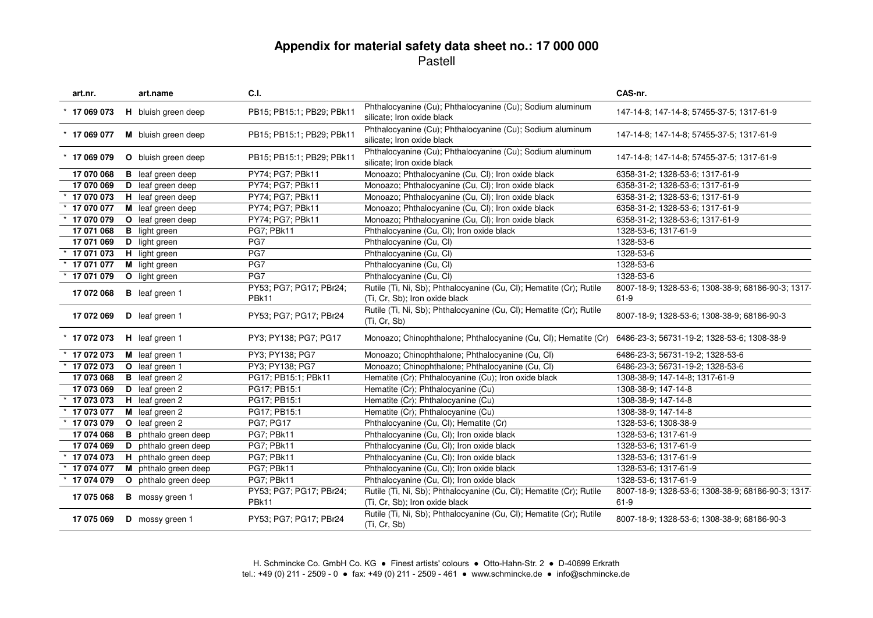| Phthalocyanine (Cu); Phthalocyanine (Cu); Sodium aluminum<br>PB15; PB15:1; PB29; PBk11<br>$*$ 17 069 073<br>H bluish green deep<br>147-14-8; 147-14-8; 57455-37-5; 1317-61-9<br>silicate; Iron oxide black<br>Phthalocyanine (Cu); Phthalocyanine (Cu); Sodium aluminum<br>M bluish green deep<br>PB15; PB15:1; PB29; PBk11<br>$*$ 17 069 077<br>147-14-8; 147-14-8; 57455-37-5; 1317-61-9<br>silicate; Iron oxide black |  |
|--------------------------------------------------------------------------------------------------------------------------------------------------------------------------------------------------------------------------------------------------------------------------------------------------------------------------------------------------------------------------------------------------------------------------|--|
|                                                                                                                                                                                                                                                                                                                                                                                                                          |  |
|                                                                                                                                                                                                                                                                                                                                                                                                                          |  |
| Phthalocyanine (Cu); Phthalocyanine (Cu); Sodium aluminum<br>PB15; PB15:1; PB29; PBk11<br>O bluish green deep<br>$*$ 17 069 079<br>147-14-8; 147-14-8; 57455-37-5; 1317-61-9<br>silicate; Iron oxide black                                                                                                                                                                                                               |  |
| Monoazo; Phthalocyanine (Cu, Cl); Iron oxide black<br>17 070 068<br><b>B</b> leaf green deep<br>PY74; PG7; PBk11<br>6358-31-2; 1328-53-6; 1317-61-9                                                                                                                                                                                                                                                                      |  |
| 17 070 069<br>D leaf green deep<br>PY74; PG7; PBk11<br>Monoazo; Phthalocyanine (Cu, Cl); Iron oxide black<br>6358-31-2; 1328-53-6; 1317-61-9                                                                                                                                                                                                                                                                             |  |
| 17 070 073<br>H leaf green deep<br>PY74; PG7; PBk11<br>Monoazo; Phthalocyanine (Cu, Cl); Iron oxide black<br>6358-31-2; 1328-53-6; 1317-61-9                                                                                                                                                                                                                                                                             |  |
| M leaf green deep<br>Monoazo; Phthalocyanine (Cu, Cl); Iron oxide black<br>17 070 077<br>PY74; PG7; PBk11<br>6358-31-2; 1328-53-6; 1317-61-9                                                                                                                                                                                                                                                                             |  |
| 17 070 079<br>O leaf green deep<br>PY74; PG7; PBk11<br>Monoazo; Phthalocyanine (Cu, Cl); Iron oxide black<br>6358-31-2; 1328-53-6; 1317-61-9                                                                                                                                                                                                                                                                             |  |
| Phthalocyanine (Cu, Cl); Iron oxide black<br>17 071 068<br><b>B</b> light green<br>PG7; PBk11<br>1328-53-6; 1317-61-9                                                                                                                                                                                                                                                                                                    |  |
| PG7<br>17 071 069<br>D light green<br>Phthalocyanine (Cu, Cl)<br>1328-53-6                                                                                                                                                                                                                                                                                                                                               |  |
| PG7<br>17 071 073<br>Phthalocyanine (Cu, Cl)<br>1328-53-6<br><b>H</b> light green                                                                                                                                                                                                                                                                                                                                        |  |
| PG7<br>Phthalocyanine (Cu, Cl)<br>1328-53-6<br>17 071 077<br>M light green                                                                                                                                                                                                                                                                                                                                               |  |
| PG7<br>1328-53-6<br>17 071 079<br>Phthalocyanine (Cu, Cl)<br>O light green                                                                                                                                                                                                                                                                                                                                               |  |
| PY53; PG7; PG17; PBr24;<br>Rutile (Ti, Ni, Sb); Phthalocyanine (Cu, Cl); Hematite (Cr); Rutile<br>8007-18-9; 1328-53-6; 1308-38-9; 68186-90-3; 1317-<br>17 072 068<br><b>B</b> leaf green 1                                                                                                                                                                                                                              |  |
| (Ti, Cr, Sb); Iron oxide black<br>PBk11<br>$61-9$                                                                                                                                                                                                                                                                                                                                                                        |  |
| Rutile (Ti, Ni, Sb); Phthalocyanine (Cu, Cl); Hematite (Cr); Rutile<br>17 072 069<br>D leaf green 1<br>PY53; PG7; PG17; PBr24<br>8007-18-9; 1328-53-6; 1308-38-9; 68186-90-3<br>(Ti, Cr, Sb)                                                                                                                                                                                                                             |  |
| Monoazo; Chinophthalone; Phthalocyanine (Cu, Cl); Hematite (Cr)<br>$*$ 17 072 073<br>H leaf green 1<br>PY3; PY138; PG7; PG17<br>6486-23-3; 56731-19-2; 1328-53-6; 1308-38-9                                                                                                                                                                                                                                              |  |
| M leaf green 1<br>PY3; PY138; PG7<br>Monoazo; Chinophthalone; Phthalocyanine (Cu, Cl)<br>6486-23-3; 56731-19-2; 1328-53-6<br>17 072 073                                                                                                                                                                                                                                                                                  |  |
| 17 072 073<br>O leaf green 1<br>PY3; PY138; PG7<br>Monoazo; Chinophthalone; Phthalocyanine (Cu, Cl)<br>6486-23-3; 56731-19-2; 1328-53-6                                                                                                                                                                                                                                                                                  |  |
| 17 073 068<br><b>B</b> leaf green 2<br>PG17; PB15:1; PBk11<br>Hematite (Cr); Phthalocyanine (Cu); Iron oxide black<br>1308-38-9; 147-14-8; 1317-61-9                                                                                                                                                                                                                                                                     |  |
| Hematite (Cr); Phthalocyanine (Cu)<br>17 073 069<br>D leaf green 2<br>PG17; PB15:1<br>1308-38-9; 147-14-8                                                                                                                                                                                                                                                                                                                |  |
| 17 073 073<br>H leaf green 2<br>PG17; PB15:1<br>Hematite (Cr); Phthalocyanine (Cu)<br>1308-38-9; 147-14-8                                                                                                                                                                                                                                                                                                                |  |
| 17 073 077<br>PG17; PB15:1<br>Hematite (Cr); Phthalocyanine (Cu)<br>M leaf green 2<br>1308-38-9; 147-14-8                                                                                                                                                                                                                                                                                                                |  |
| O leaf green 2<br>17 073 079<br><b>PG7: PG17</b><br>Phthalocyanine (Cu, Cl); Hematite (Cr)<br>1328-53-6; 1308-38-9                                                                                                                                                                                                                                                                                                       |  |
| 17 074 068<br><b>B</b> phthalo green deep<br>PG7; PBk11<br>Phthalocyanine (Cu, Cl); Iron oxide black<br>1328-53-6; 1317-61-9                                                                                                                                                                                                                                                                                             |  |
| 17 074 069<br>phthalo green deep<br>Phthalocyanine (Cu, Cl); Iron oxide black<br>PG7; PBk11<br>1328-53-6; 1317-61-9<br>D                                                                                                                                                                                                                                                                                                 |  |
| 17 074 073<br>H phthalo green deep<br>PG7; PBk11<br>Phthalocyanine (Cu, Cl); Iron oxide black<br>1328-53-6; 1317-61-9                                                                                                                                                                                                                                                                                                    |  |
| 17 074 077<br>M phthalo green deep<br>PG7; PBk11<br>Phthalocyanine (Cu, Cl); Iron oxide black<br>1328-53-6; 1317-61-9                                                                                                                                                                                                                                                                                                    |  |
| PG7; PBk11<br>Phthalocyanine (Cu, Cl); Iron oxide black<br>1328-53-6; 1317-61-9<br>17 074 079<br>O phthalo green deep                                                                                                                                                                                                                                                                                                    |  |
| Rutile (Ti, Ni, Sb); Phthalocyanine (Cu, Cl); Hematite (Cr); Rutile<br>PY53; PG7; PG17; PBr24;<br>8007-18-9; 1328-53-6; 1308-38-9; 68186-90-3; 1317-<br>17 075 068<br><b>B</b> mossy green 1<br>PBk11<br>(Ti, Cr, Sb); Iron oxide black<br>$61-9$                                                                                                                                                                        |  |
| Rutile (Ti, Ni, Sb); Phthalocyanine (Cu, Cl); Hematite (Cr); Rutile<br>PY53; PG7; PG17; PBr24<br>17 075 069<br>D mossy green 1<br>8007-18-9; 1328-53-6; 1308-38-9; 68186-90-3<br>(Ti, Cr, Sb)                                                                                                                                                                                                                            |  |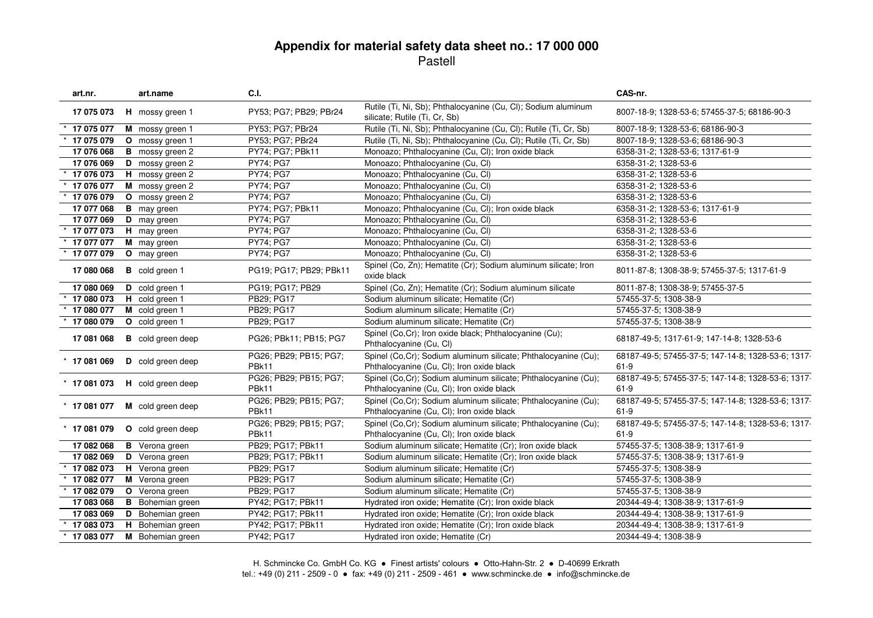| art.nr.        |   | art.name                 | C.I.                            |                                                                                                              | CAS-nr.                                                      |
|----------------|---|--------------------------|---------------------------------|--------------------------------------------------------------------------------------------------------------|--------------------------------------------------------------|
| 17 075 073     |   | H mossy green 1          | PY53; PG7; PB29; PBr24          | Rutile (Ti, Ni, Sb); Phthalocyanine (Cu, Cl); Sodium aluminum<br>silicate; Rutile (Ti, Cr, Sb)               | 8007-18-9; 1328-53-6; 57455-37-5; 68186-90-3                 |
| 17 075 077     |   | M mossy green 1          | PY53; PG7; PBr24                | Rutile (Ti, Ni, Sb); Phthalocyanine (Cu, Cl); Rutile (Ti, Cr, Sb)                                            | 8007-18-9; 1328-53-6; 68186-90-3                             |
| 17 075 079     |   | O mossy green 1          | PY53; PG7; PBr24                | Rutile (Ti, Ni, Sb); Phthalocyanine (Cu, Cl); Rutile (Ti, Cr, Sb)                                            | 8007-18-9; 1328-53-6; 68186-90-3                             |
| 17 076 068     |   | <b>B</b> mossy green 2   | PY74; PG7; PBk11                | Monoazo; Phthalocyanine (Cu, Cl); Iron oxide black                                                           | 6358-31-2; 1328-53-6; 1317-61-9                              |
| 17 076 069     |   | D mossy green 2          | <b>PY74: PG7</b>                | Monoazo; Phthalocyanine (Cu, Cl)                                                                             | 6358-31-2; 1328-53-6                                         |
| 17 076 073     |   | H mossy green 2          | <b>PY74: PG7</b>                | Monoazo; Phthalocyanine (Cu, Cl)                                                                             | 6358-31-2; 1328-53-6                                         |
| 17 076 077     |   | M mossy green 2          | PY74; PG7                       | Monoazo; Phthalocyanine (Cu, Cl)                                                                             | 6358-31-2; 1328-53-6                                         |
| 17 076 079     |   | O mossy green 2          | <b>PY74; PG7</b>                | Monoazo; Phthalocyanine (Cu, Cl)                                                                             | 6358-31-2; 1328-53-6                                         |
| 17 077 068     |   | <b>B</b> may green       | PY74; PG7; PBk11                | Monoazo; Phthalocyanine (Cu, Cl); Iron oxide black                                                           | 6358-31-2; 1328-53-6; 1317-61-9                              |
| 17 077 069     |   | <b>D</b> may green       | <b>PY74; PG7</b>                | Monoazo; Phthalocyanine (Cu, Cl)                                                                             | 6358-31-2; 1328-53-6                                         |
| 17 077 073     |   | H may green              | <b>PY74: PG7</b>                | Monoazo; Phthalocyanine (Cu, Cl)                                                                             | 6358-31-2; 1328-53-6                                         |
| 17 077 077     |   | M may green              | <b>PY74: PG7</b>                | Monoazo; Phthalocyanine (Cu, Cl)                                                                             | 6358-31-2; 1328-53-6                                         |
| 17 077 079     |   | O may green              | PY74; PG7                       | Monoazo; Phthalocyanine (Cu, Cl)                                                                             | 6358-31-2; 1328-53-6                                         |
| 17 080 068     |   | <b>B</b> cold green 1    | PG19; PG17; PB29; PBk11         | Spinel (Co, Zn); Hematite (Cr); Sodium aluminum silicate; Iron<br>oxide black                                | 8011-87-8; 1308-38-9; 57455-37-5; 1317-61-9                  |
| 17 080 069     |   | D cold green 1           | PG19; PG17; PB29                | Spinel (Co, Zn); Hematite (Cr); Sodium aluminum silicate                                                     | 8011-87-8; 1308-38-9; 57455-37-5                             |
| 17 080 073     |   | H cold green 1           | PB29; PG17                      | Sodium aluminum silicate; Hematite (Cr)                                                                      | 57455-37-5; 1308-38-9                                        |
| 17 080 077     |   | M cold green 1           | PB29; PG17                      | Sodium aluminum silicate; Hematite (Cr)                                                                      | 57455-37-5; 1308-38-9                                        |
| 17 080 079     |   | O cold green 1           | PB29; PG17                      | Sodium aluminum silicate; Hematite (Cr)                                                                      | 57455-37-5; 1308-38-9                                        |
| 17 081 068     |   | <b>B</b> cold green deep | PG26; PBk11; PB15; PG7          | Spinel (Co, Cr); Iron oxide black; Phthalocyanine (Cu);<br>Phthalocyanine (Cu, Cl)                           | 68187-49-5; 1317-61-9; 147-14-8; 1328-53-6                   |
| $*$ 17 081 069 |   | D cold green deep        | PG26; PB29; PB15; PG7;<br>PBk11 | Spinel (Co,Cr); Sodium aluminum silicate; Phthalocyanine (Cu);<br>Phthalocyanine (Cu, Cl); Iron oxide black  | 68187-49-5; 57455-37-5; 147-14-8; 1328-53-6; 1317-<br>$61-9$ |
| $*$ 17 081 073 |   | H cold green deep        | PG26; PB29; PB15; PG7;<br>PBk11 | Spinel (Co,Cr); Sodium aluminum silicate; Phthalocyanine (Cu);<br>Phthalocyanine (Cu, Cl); Iron oxide black  | 68187-49-5; 57455-37-5; 147-14-8; 1328-53-6; 1317-<br>$61-9$ |
| $*$ 17 081 077 |   | M cold green deep        | PG26; PB29; PB15; PG7;<br>PBk11 | Spinel (Co, Cr); Sodium aluminum silicate; Phthalocyanine (Cu);<br>Phthalocyanine (Cu, Cl); Iron oxide black | 68187-49-5; 57455-37-5; 147-14-8; 1328-53-6; 1317-<br>$61-9$ |
| $*$ 17 081 079 |   | O cold green deep        | PG26; PB29; PB15; PG7;<br>PBk11 | Spinel (Co,Cr); Sodium aluminum silicate; Phthalocyanine (Cu);<br>Phthalocyanine (Cu, Cl); Iron oxide black  | 68187-49-5; 57455-37-5; 147-14-8; 1328-53-6; 1317-<br>$61-9$ |
| 17 082 068     |   | <b>B</b> Verona green    | PB29; PG17; PBk11               | Sodium aluminum silicate; Hematite (Cr); Iron oxide black                                                    | 57455-37-5; 1308-38-9; 1317-61-9                             |
| 17 082 069     |   | D Verona green           | PB29; PG17; PBk11               | Sodium aluminum silicate; Hematite (Cr); Iron oxide black                                                    | 57455-37-5; 1308-38-9; 1317-61-9                             |
| 17 082 073     |   | H Verona green           | PB29; PG17                      | Sodium aluminum silicate; Hematite (Cr)                                                                      | 57455-37-5; 1308-38-9                                        |
| 17 082 077     |   | M Verona green           | PB29; PG17                      | Sodium aluminum silicate; Hematite (Cr)                                                                      | 57455-37-5; 1308-38-9                                        |
| 17 082 079     |   | <b>O</b> Verona green    | PB29; PG17                      | Sodium aluminum silicate; Hematite (Cr)                                                                      | 57455-37-5; 1308-38-9                                        |
| 17 083 068     | В | Bohemian green           | PY42; PG17; PBk11               | Hydrated iron oxide; Hematite (Cr); Iron oxide black                                                         | 20344-49-4; 1308-38-9; 1317-61-9                             |
| 17 083 069     | D | Bohemian green           | PY42; PG17; PBk11               | Hydrated iron oxide; Hematite (Cr); Iron oxide black                                                         | 20344-49-4; 1308-38-9; 1317-61-9                             |
| 17 083 073     | H | Bohemian green           | PY42; PG17; PBk11               | Hydrated iron oxide; Hematite (Cr); Iron oxide black                                                         | 20344-49-4; 1308-38-9; 1317-61-9                             |
| 17 083 077     |   | M Bohemian green         | PY42; PG17                      | Hydrated iron oxide; Hematite (Cr)                                                                           | 20344-49-4; 1308-38-9                                        |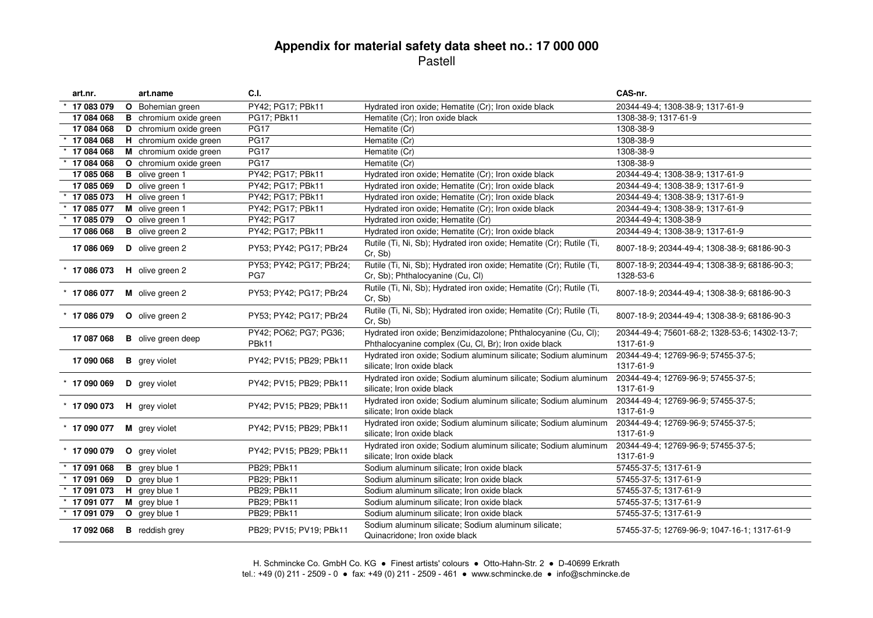| art.nr.        | art.name                      | C.I.                            |                                                                                                                         | CAS-nr.                                                     |
|----------------|-------------------------------|---------------------------------|-------------------------------------------------------------------------------------------------------------------------|-------------------------------------------------------------|
| 17 083 079     | <b>O</b> Bohemian green       | PY42; PG17; PBk11               | Hydrated iron oxide; Hematite (Cr); Iron oxide black                                                                    | 20344-49-4; 1308-38-9; 1317-61-9                            |
| 17 084 068     | <b>B</b> chromium oxide green | PG17; PBk11                     | Hematite (Cr); Iron oxide black                                                                                         | 1308-38-9; 1317-61-9                                        |
| 17 084 068     | D chromium oxide green        | <b>PG17</b>                     | Hematite (Cr)                                                                                                           | 1308-38-9                                                   |
| 17 084 068     | H chromium oxide green        | <b>PG17</b>                     | Hematite (Cr)                                                                                                           | 1308-38-9                                                   |
| 17 084 068     | M chromium oxide green        | <b>PG17</b>                     | Hematite (Cr)                                                                                                           | 1308-38-9                                                   |
| 17 084 068     | O chromium oxide green        | <b>PG17</b>                     | Hematite (Cr)                                                                                                           | 1308-38-9                                                   |
| 17 085 068     | <b>B</b> olive green 1        | PY42; PG17; PBk11               | Hydrated iron oxide; Hematite (Cr); Iron oxide black                                                                    | 20344-49-4; 1308-38-9; 1317-61-9                            |
| 17 085 069     | D olive green 1               | PY42; PG17; PBk11               | Hydrated iron oxide; Hematite (Cr); Iron oxide black                                                                    | 20344-49-4; 1308-38-9; 1317-61-9                            |
| 17 085 073     | H olive green 1               | PY42; PG17; PBk11               | Hydrated iron oxide; Hematite (Cr); Iron oxide black                                                                    | 20344-49-4; 1308-38-9; 1317-61-9                            |
| 17 085 077     | M olive green 1               | PY42; PG17; PBk11               | Hydrated iron oxide; Hematite (Cr); Iron oxide black                                                                    | 20344-49-4; 1308-38-9; 1317-61-9                            |
| 17 085 079     | O olive green 1               | PY42; PG17                      | Hydrated iron oxide; Hematite (Cr)                                                                                      | 20344-49-4; 1308-38-9                                       |
| 17 086 068     | <b>B</b> olive green 2        | PY42; PG17; PBk11               | Hydrated iron oxide; Hematite (Cr); Iron oxide black                                                                    | 20344-49-4; 1308-38-9; 1317-61-9                            |
| 17 086 069     | D olive green 2               | PY53; PY42; PG17; PBr24         | Rutile (Ti, Ni, Sb); Hydrated iron oxide; Hematite (Cr); Rutile (Ti,<br>Cr, Sb)                                         | 8007-18-9; 20344-49-4; 1308-38-9; 68186-90-3                |
| $*$ 17 086 073 | H olive green 2               | PY53; PY42; PG17; PBr24;<br>PG7 | Rutile (Ti, Ni, Sb); Hydrated iron oxide; Hematite (Cr); Rutile (Ti,<br>Cr, Sb); Phthalocyanine (Cu, Cl)                | 8007-18-9; 20344-49-4; 1308-38-9; 68186-90-3;<br>1328-53-6  |
| $*$ 17 086 077 | M olive green 2               | PY53; PY42; PG17; PBr24         | Rutile (Ti, Ni, Sb); Hydrated iron oxide; Hematite (Cr); Rutile (Ti,<br>Cr, Sb)                                         | 8007-18-9; 20344-49-4; 1308-38-9; 68186-90-3                |
| $*$ 17 086 079 | O olive green 2               | PY53; PY42; PG17; PBr24         | Rutile (Ti, Ni, Sb); Hydrated iron oxide; Hematite (Cr); Rutile (Ti,<br>Cr, Sb)                                         | 8007-18-9; 20344-49-4; 1308-38-9; 68186-90-3                |
| 17 087 068     | <b>B</b> olive green deep     | PY42; PO62; PG7; PG36;<br>PBk11 | Hydrated iron oxide; Benzimidazolone; Phthalocyanine (Cu, Cl);<br>Phthalocyanine complex (Cu, Cl, Br); Iron oxide black | 20344-49-4; 75601-68-2; 1328-53-6; 14302-13-7;<br>1317-61-9 |
| 17 090 068     | <b>B</b> grey violet          | PY42; PV15; PB29; PBk11         | Hydrated iron oxide; Sodium aluminum silicate; Sodium aluminum<br>silicate; Iron oxide black                            | 20344-49-4; 12769-96-9; 57455-37-5;<br>1317-61-9            |
| $*$ 17 090 069 | D grey violet                 | PY42; PV15; PB29; PBk11         | Hydrated iron oxide; Sodium aluminum silicate; Sodium aluminum<br>silicate; Iron oxide black                            | 20344-49-4; 12769-96-9; 57455-37-5;<br>1317-61-9            |
| $*$ 17 090 073 | H grey violet                 | PY42; PV15; PB29; PBk11         | Hydrated iron oxide; Sodium aluminum silicate; Sodium aluminum<br>silicate; Iron oxide black                            | 20344-49-4; 12769-96-9; 57455-37-5;<br>1317-61-9            |
| $*$ 17 090 077 | M grey violet                 | PY42; PV15; PB29; PBk11         | Hydrated iron oxide; Sodium aluminum silicate; Sodium aluminum<br>silicate; Iron oxide black                            | 20344-49-4; 12769-96-9; 57455-37-5;<br>1317-61-9            |
| $*$ 17 090 079 | O grey violet                 | PY42; PV15; PB29; PBk11         | Hydrated iron oxide; Sodium aluminum silicate; Sodium aluminum<br>silicate; Iron oxide black                            | 20344-49-4; 12769-96-9; 57455-37-5;<br>1317-61-9            |
| 17 091 068     | <b>B</b> grey blue 1          | PB29; PBk11                     | Sodium aluminum silicate; Iron oxide black                                                                              | 57455-37-5; 1317-61-9                                       |
| 17 091 069     | D grey blue 1                 | PB29; PBk11                     | Sodium aluminum silicate; Iron oxide black                                                                              | 57455-37-5; 1317-61-9                                       |
| 17 091 073     | H grey blue 1                 | PB29; PBk11                     | Sodium aluminum silicate; Iron oxide black                                                                              | 57455-37-5; 1317-61-9                                       |
| 17 091 077     | M grey blue 1                 | PB29; PBk11                     | Sodium aluminum silicate; Iron oxide black                                                                              | 57455-37-5; 1317-61-9                                       |
| 17 091 079     | O grey blue 1                 | PB29; PBk11                     | Sodium aluminum silicate; Iron oxide black                                                                              | 57455-37-5; 1317-61-9                                       |
| 17 092 068     | <b>B</b> reddish grey         | PB29; PV15; PV19; PBk11         | Sodium aluminum silicate; Sodium aluminum silicate;<br>Quinacridone; Iron oxide black                                   | 57455-37-5; 12769-96-9; 1047-16-1; 1317-61-9                |

H. Schmincke Co. GmbH Co. KG ● Finest artists' colours ● Otto-Hahn-Str. 2 ● D-40699 Erkrath tel.: +49 (0) 211 - 2509 - 0 ● fax: +49 (0) 211 - 2509 - 461 ● www.schmincke.de ● info@schmincke.de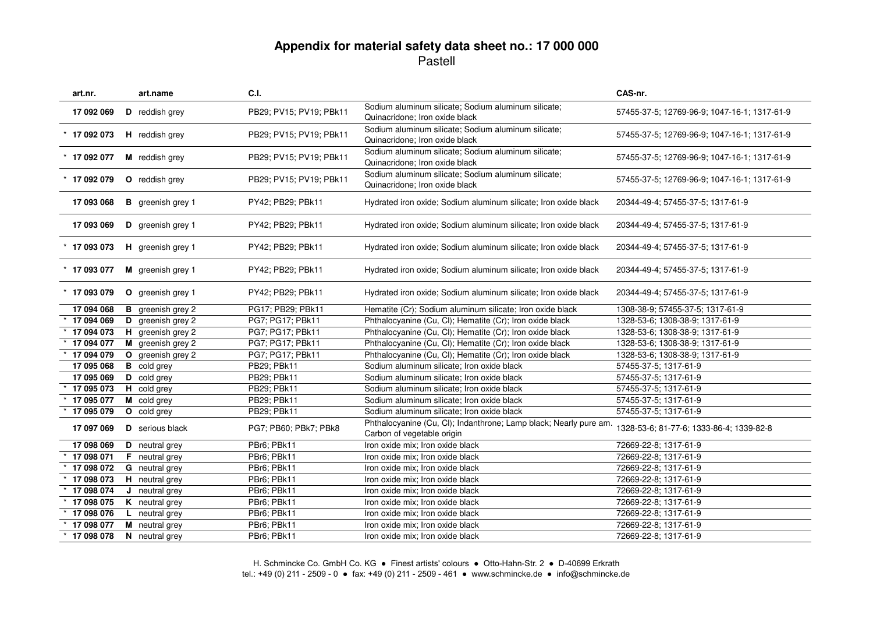| art.nr.        |   | art.name                 | <b>C.I.</b>             |                                                                                                 | CAS-nr.                                      |
|----------------|---|--------------------------|-------------------------|-------------------------------------------------------------------------------------------------|----------------------------------------------|
| 17 092 069     |   | D reddish grey           | PB29; PV15; PV19; PBk11 | Sodium aluminum silicate; Sodium aluminum silicate;<br>Quinacridone; Iron oxide black           | 57455-37-5; 12769-96-9; 1047-16-1; 1317-61-9 |
| $*$ 17 092 073 |   | H reddish grey           | PB29; PV15; PV19; PBk11 | Sodium aluminum silicate; Sodium aluminum silicate;<br>Quinacridone; Iron oxide black           | 57455-37-5; 12769-96-9; 1047-16-1; 1317-61-9 |
| $*$ 17 092 077 |   | M reddish grey           | PB29; PV15; PV19; PBk11 | Sodium aluminum silicate; Sodium aluminum silicate;<br>Quinacridone; Iron oxide black           | 57455-37-5; 12769-96-9; 1047-16-1; 1317-61-9 |
| $*$ 17 092 079 |   | O reddish grey           | PB29; PV15; PV19; PBk11 | Sodium aluminum silicate; Sodium aluminum silicate;<br>Quinacridone; Iron oxide black           | 57455-37-5; 12769-96-9; 1047-16-1; 1317-61-9 |
| 17 093 068     |   | <b>B</b> greenish grey 1 | PY42; PB29; PBk11       | Hydrated iron oxide; Sodium aluminum silicate; Iron oxide black                                 | 20344-49-4; 57455-37-5; 1317-61-9            |
| 17 093 069     |   | D greenish grey 1        | PY42; PB29; PBk11       | Hydrated iron oxide; Sodium aluminum silicate; Iron oxide black                                 | 20344-49-4; 57455-37-5; 1317-61-9            |
| $*$ 17 093 073 |   | H greenish grey 1        | PY42; PB29; PBk11       | Hydrated iron oxide; Sodium aluminum silicate; Iron oxide black                                 | 20344-49-4; 57455-37-5; 1317-61-9            |
| $*$ 17 093 077 |   | M greenish grey 1        | PY42; PB29; PBk11       | Hydrated iron oxide; Sodium aluminum silicate; Iron oxide black                                 | 20344-49-4; 57455-37-5; 1317-61-9            |
| $*$ 17 093 079 |   | O greenish grey 1        | PY42; PB29; PBk11       | Hydrated iron oxide; Sodium aluminum silicate; Iron oxide black                                 | 20344-49-4; 57455-37-5; 1317-61-9            |
| 17 094 068     |   | greenish grey 2          | PG17; PB29; PBk11       | Hematite (Cr); Sodium aluminum silicate; Iron oxide black                                       | 1308-38-9; 57455-37-5; 1317-61-9             |
| 17 094 069     | D | greenish grey 2          | PG7; PG17; PBk11        | Phthalocyanine (Cu, Cl); Hematite (Cr); Iron oxide black                                        | 1328-53-6; 1308-38-9; 1317-61-9              |
| 17 094 073     | н | greenish grey 2          | PG7; PG17; PBk11        | Phthalocyanine (Cu, Cl); Hematite (Cr); Iron oxide black                                        | 1328-53-6; 1308-38-9; 1317-61-9              |
| 17 094 077     |   | M greenish grey 2        | PG7; PG17; PBk11        | Phthalocyanine (Cu, Cl); Hematite (Cr); Iron oxide black                                        | 1328-53-6; 1308-38-9; 1317-61-9              |
| 17 094 079     |   | O greenish grey 2        | PG7; PG17; PBk11        | Phthalocyanine (Cu, Cl); Hematite (Cr); Iron oxide black                                        | 1328-53-6; 1308-38-9; 1317-61-9              |
| 17 095 068     |   | <b>B</b> cold grey       | PB29; PBk11             | Sodium aluminum silicate; Iron oxide black                                                      | 57455-37-5; 1317-61-9                        |
| 17 095 069     |   | D cold grey              | PB29: PBk11             | Sodium aluminum silicate; Iron oxide black                                                      | 57455-37-5; 1317-61-9                        |
| 17 095 073     |   | H cold grey              | PB29; PBk11             | Sodium aluminum silicate; Iron oxide black                                                      | 57455-37-5; 1317-61-9                        |
| 17 095 077     |   | M cold grey              | PB29; PBk11             | Sodium aluminum silicate; Iron oxide black                                                      | 57455-37-5; 1317-61-9                        |
| 17 095 079     |   | O cold grey              | PB29; PBk11             | Sodium aluminum silicate; Iron oxide black                                                      | 57455-37-5; 1317-61-9                        |
| 17 097 069     |   | <b>D</b> serious black   | PG7; PB60; PBk7; PBk8   | Phthalocyanine (Cu, Cl); Indanthrone; Lamp black; Nearly pure am.<br>Carbon of vegetable origin | 1328-53-6; 81-77-6; 1333-86-4; 1339-82-8     |
| 17 098 069     |   | D neutral grey           | PBr6; PBk11             | Iron oxide mix; Iron oxide black                                                                | 72669-22-8; 1317-61-9                        |
| 17 098 071     |   | <b>F</b> neutral grey    | PBr6; PBk11             | Iron oxide mix; Iron oxide black                                                                | 72669-22-8; 1317-61-9                        |
| 17 098 072     |   | G neutral grey           | PBr6; PBk11             | Iron oxide mix; Iron oxide black                                                                | 72669-22-8; 1317-61-9                        |
| 17 098 073     |   | H neutral grey           | PBr6; PBk11             | Iron oxide mix; Iron oxide black                                                                | 72669-22-8; 1317-61-9                        |
| 17 098 074     |   | J neutral grey           | PBr6; PBk11             | Iron oxide mix; Iron oxide black                                                                | 72669-22-8; 1317-61-9                        |
| 17 098 075     |   | <b>K</b> neutral grey    | PBr6; PBk11             | Iron oxide mix; Iron oxide black                                                                | 72669-22-8; 1317-61-9                        |
| 17 098 076     |   | L neutral grey           | PBr6; PBk11             | Iron oxide mix; Iron oxide black                                                                | 72669-22-8; 1317-61-9                        |
| 17 098 077     |   | M neutral grey           | PBr6; PBk11             | Iron oxide mix; Iron oxide black                                                                | 72669-22-8; 1317-61-9                        |
| 17 098 078     |   | N neutral grey           | PBr6; PBk11             | Iron oxide mix; Iron oxide black                                                                | 72669-22-8; 1317-61-9                        |